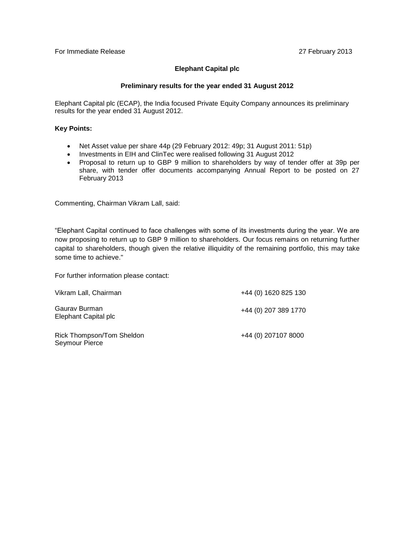## **Elephant Capital plc**

#### **Preliminary results for the year ended 31 August 2012**

Elephant Capital plc (ECAP), the India focused Private Equity Company announces its preliminary results for the year ended 31 August 2012.

#### **Key Points:**

- Net Asset value per share 44p (29 February 2012: 49p; 31 August 2011: 51p)
- Investments in EIH and ClinTec were realised following 31 August 2012
- Proposal to return up to GBP 9 million to shareholders by way of tender offer at 39p per share, with tender offer documents accompanying Annual Report to be posted on 27 February 2013

Commenting, Chairman Vikram Lall, said:

"Elephant Capital continued to face challenges with some of its investments during the year. We are now proposing to return up to GBP 9 million to shareholders. Our focus remains on returning further capital to shareholders, though given the relative illiquidity of the remaining portfolio, this may take some time to achieve."

For further information please contact:

| Vikram Lall, Chairman                       | +44 (0) 1620 825 130 |
|---------------------------------------------|----------------------|
| Gauray Burman<br>Elephant Capital plc       | +44 (0) 207 389 1770 |
| Rick Thompson/Tom Sheldon<br>Seymour Pierce | +44 (0) 207107 8000  |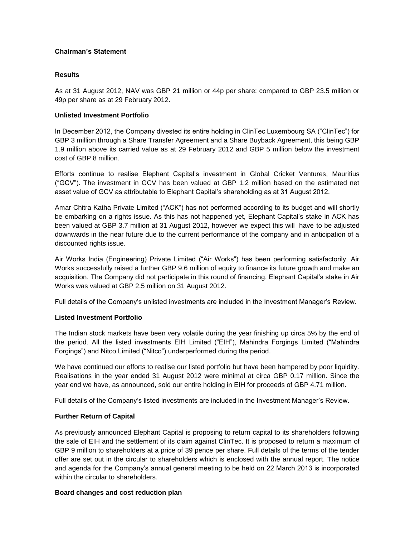## **Chairman's Statement**

## **Results**

As at 31 August 2012, NAV was GBP 21 million or 44p per share; compared to GBP 23.5 million or 49p per share as at 29 February 2012.

## **Unlisted Investment Portfolio**

In December 2012, the Company divested its entire holding in ClinTec Luxembourg SA ("ClinTec") for GBP 3 million through a Share Transfer Agreement and a Share Buyback Agreement, this being GBP 1.9 million above its carried value as at 29 February 2012 and GBP 5 million below the investment cost of GBP 8 million.

Efforts continue to realise Elephant Capital's investment in Global Cricket Ventures, Mauritius ("GCV"). The investment in GCV has been valued at GBP 1.2 million based on the estimated net asset value of GCV as attributable to Elephant Capital's shareholding as at 31 August 2012.

Amar Chitra Katha Private Limited ("ACK") has not performed according to its budget and will shortly be embarking on a rights issue. As this has not happened yet, Elephant Capital's stake in ACK has been valued at GBP 3.7 million at 31 August 2012, however we expect this will have to be adjusted downwards in the near future due to the current performance of the company and in anticipation of a discounted rights issue.

Air Works India (Engineering) Private Limited ("Air Works") has been performing satisfactorily. Air Works successfully raised a further GBP 9.6 million of equity to finance its future growth and make an acquisition. The Company did not participate in this round of financing. Elephant Capital's stake in Air Works was valued at GBP 2.5 million on 31 August 2012.

Full details of the Company's unlisted investments are included in the Investment Manager's Review.

## **Listed Investment Portfolio**

The Indian stock markets have been very volatile during the year finishing up circa 5% by the end of the period. All the listed investments EIH Limited ("EIH"), Mahindra Forgings Limited ("Mahindra Forgings") and Nitco Limited ("Nitco") underperformed during the period.

We have continued our efforts to realise our listed portfolio but have been hampered by poor liquidity. Realisations in the year ended 31 August 2012 were minimal at circa GBP 0.17 million. Since the year end we have, as announced, sold our entire holding in EIH for proceeds of GBP 4.71 million.

Full details of the Company's listed investments are included in the Investment Manager's Review.

## **Further Return of Capital**

As previously announced Elephant Capital is proposing to return capital to its shareholders following the sale of EIH and the settlement of its claim against ClinTec. It is proposed to return a maximum of GBP 9 million to shareholders at a price of 39 pence per share. Full details of the terms of the tender offer are set out in the circular to shareholders which is enclosed with the annual report. The notice and agenda for the Company's annual general meeting to be held on 22 March 2013 is incorporated within the circular to shareholders.

#### **Board changes and cost reduction plan**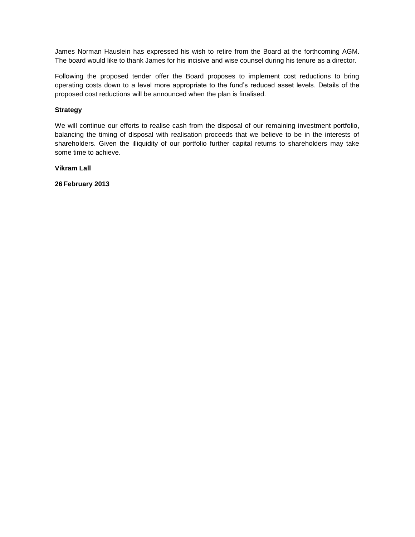James Norman Hauslein has expressed his wish to retire from the Board at the forthcoming AGM. The board would like to thank James for his incisive and wise counsel during his tenure as a director.

Following the proposed tender offer the Board proposes to implement cost reductions to bring operating costs down to a level more appropriate to the fund's reduced asset levels. Details of the proposed cost reductions will be announced when the plan is finalised.

## **Strategy**

We will continue our efforts to realise cash from the disposal of our remaining investment portfolio, balancing the timing of disposal with realisation proceeds that we believe to be in the interests of shareholders. Given the illiquidity of our portfolio further capital returns to shareholders may take some time to achieve.

## **Vikram Lall**

**26 February 2013**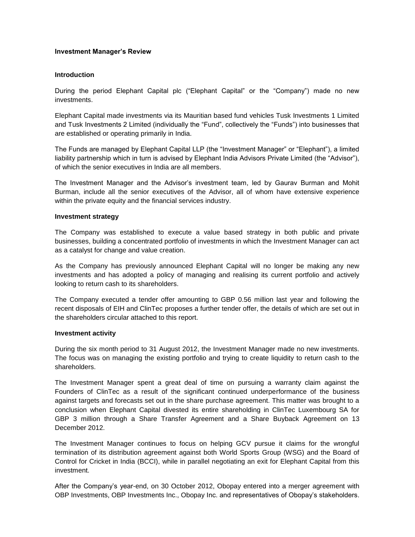#### **Investment Manager's Review**

#### **Introduction**

During the period Elephant Capital plc ("Elephant Capital" or the "Company") made no new investments.

Elephant Capital made investments via its Mauritian based fund vehicles Tusk Investments 1 Limited and Tusk Investments 2 Limited (individually the "Fund", collectively the "Funds") into businesses that are established or operating primarily in India.

The Funds are managed by Elephant Capital LLP (the "Investment Manager" or "Elephant"), a limited liability partnership which in turn is advised by Elephant India Advisors Private Limited (the "Advisor"), of which the senior executives in India are all members.

The Investment Manager and the Advisor's investment team, led by Gaurav Burman and Mohit Burman, include all the senior executives of the Advisor, all of whom have extensive experience within the private equity and the financial services industry.

#### **Investment strategy**

The Company was established to execute a value based strategy in both public and private businesses, building a concentrated portfolio of investments in which the Investment Manager can act as a catalyst for change and value creation.

As the Company has previously announced Elephant Capital will no longer be making any new investments and has adopted a policy of managing and realising its current portfolio and actively looking to return cash to its shareholders.

The Company executed a tender offer amounting to GBP 0.56 million last year and following the recent disposals of EIH and ClinTec proposes a further tender offer, the details of which are set out in the shareholders circular attached to this report.

#### **Investment activity**

During the six month period to 31 August 2012, the Investment Manager made no new investments. The focus was on managing the existing portfolio and trying to create liquidity to return cash to the shareholders.

The Investment Manager spent a great deal of time on pursuing a warranty claim against the Founders of ClinTec as a result of the significant continued underperformance of the business against targets and forecasts set out in the share purchase agreement. This matter was brought to a conclusion when Elephant Capital divested its entire shareholding in ClinTec Luxembourg SA for GBP 3 million through a Share Transfer Agreement and a Share Buyback Agreement on 13 December 2012.

The Investment Manager continues to focus on helping GCV pursue it claims for the wrongful termination of its distribution agreement against both World Sports Group (WSG) and the Board of Control for Cricket in India (BCCI), while in parallel negotiating an exit for Elephant Capital from this investment.

After the Company's year-end, on 30 October 2012, Obopay entered into a merger agreement with OBP Investments, OBP Investments Inc., Obopay Inc. and representatives of Obopay's stakeholders.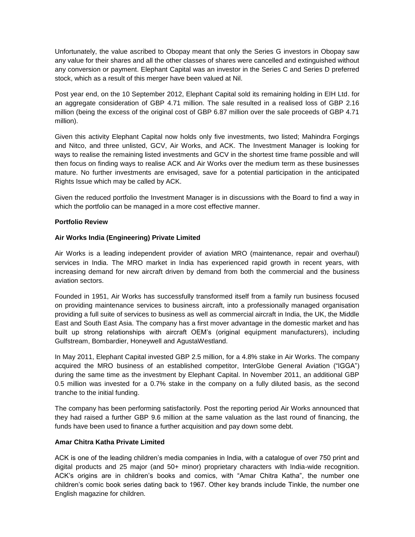Unfortunately, the value ascribed to Obopay meant that only the Series G investors in Obopay saw any value for their shares and all the other classes of shares were cancelled and extinguished without any conversion or payment. Elephant Capital was an investor in the Series C and Series D preferred stock, which as a result of this merger have been valued at Nil.

Post year end, on the 10 September 2012, Elephant Capital sold its remaining holding in EIH Ltd. for an aggregate consideration of GBP 4.71 million. The sale resulted in a realised loss of GBP 2.16 million (being the excess of the original cost of GBP 6.87 million over the sale proceeds of GBP 4.71 million).

Given this activity Elephant Capital now holds only five investments, two listed; Mahindra Forgings and Nitco, and three unlisted, GCV, Air Works, and ACK. The Investment Manager is looking for ways to realise the remaining listed investments and GCV in the shortest time frame possible and will then focus on finding ways to realise ACK and Air Works over the medium term as these businesses mature. No further investments are envisaged, save for a potential participation in the anticipated Rights Issue which may be called by ACK.

Given the reduced portfolio the Investment Manager is in discussions with the Board to find a way in which the portfolio can be managed in a more cost effective manner.

## **Portfolio Review**

## **Air Works India (Engineering) Private Limited**

Air Works is a leading independent provider of aviation MRO (maintenance, repair and overhaul) services in India. The MRO market in India has experienced rapid growth in recent years, with increasing demand for new aircraft driven by demand from both the commercial and the business aviation sectors.

Founded in 1951, Air Works has successfully transformed itself from a family run business focused on providing maintenance services to business aircraft, into a professionally managed organisation providing a full suite of services to business as well as commercial aircraft in India, the UK, the Middle East and South East Asia. The company has a first mover advantage in the domestic market and has built up strong relationships with aircraft OEM's (original equipment manufacturers), including Gulfstream, Bombardier, Honeywell and AgustaWestland.

In May 2011, Elephant Capital invested GBP 2.5 million, for a 4.8% stake in Air Works. The company acquired the MRO business of an established competitor, InterGlobe General Aviation ("IGGA") during the same time as the investment by Elephant Capital. In November 2011, an additional GBP 0.5 million was invested for a 0.7% stake in the company on a fully diluted basis, as the second tranche to the initial funding.

The company has been performing satisfactorily. Post the reporting period Air Works announced that they had raised a further GBP 9.6 million at the same valuation as the last round of financing, the funds have been used to finance a further acquisition and pay down some debt.

#### **Amar Chitra Katha Private Limited**

ACK is one of the leading children's media companies in India, with a catalogue of over 750 print and digital products and 25 major (and 50+ minor) proprietary characters with India-wide recognition. ACK's origins are in children's books and comics, with "Amar Chitra Katha", the number one children's comic book series dating back to 1967. Other key brands include Tinkle, the number one English magazine for children.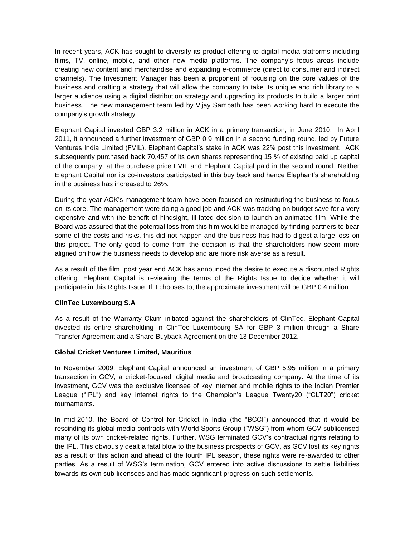In recent years, ACK has sought to diversify its product offering to digital media platforms including films, TV, online, mobile, and other new media platforms. The company's focus areas include creating new content and merchandise and expanding e-commerce (direct to consumer and indirect channels). The Investment Manager has been a proponent of focusing on the core values of the business and crafting a strategy that will allow the company to take its unique and rich library to a larger audience using a digital distribution strategy and upgrading its products to build a larger print business. The new management team led by Vijay Sampath has been working hard to execute the company's growth strategy.

Elephant Capital invested GBP 3.2 million in ACK in a primary transaction, in June 2010. In April 2011, it announced a further investment of GBP 0.9 million in a second funding round, led by Future Ventures India Limited (FVIL). Elephant Capital's stake in ACK was 22% post this investment. ACK subsequently purchased back 70,457 of its own shares representing 15 % of existing paid up capital of the company, at the purchase price FVIL and Elephant Capital paid in the second round. Neither Elephant Capital nor its co-investors participated in this buy back and hence Elephant's shareholding in the business has increased to 26%.

During the year ACK's management team have been focused on restructuring the business to focus on its core. The management were doing a good job and ACK was tracking on budget save for a very expensive and with the benefit of hindsight, ill-fated decision to launch an animated film. While the Board was assured that the potential loss from this film would be managed by finding partners to bear some of the costs and risks, this did not happen and the business has had to digest a large loss on this project. The only good to come from the decision is that the shareholders now seem more aligned on how the business needs to develop and are more risk averse as a result.

As a result of the film, post year end ACK has announced the desire to execute a discounted Rights offering. Elephant Capital is reviewing the terms of the Rights Issue to decide whether it will participate in this Rights Issue. If it chooses to, the approximate investment will be GBP 0.4 million.

## **ClinTec Luxembourg S.A**

As a result of the Warranty Claim initiated against the shareholders of ClinTec, Elephant Capital divested its entire shareholding in ClinTec Luxembourg SA for GBP 3 million through a Share Transfer Agreement and a Share Buyback Agreement on the 13 December 2012.

#### **Global Cricket Ventures Limited, Mauritius**

In November 2009, Elephant Capital announced an investment of GBP 5.95 million in a primary transaction in GCV, a cricket-focused, digital media and broadcasting company. At the time of its investment, GCV was the exclusive licensee of key internet and mobile rights to the Indian Premier League ("IPL") and key internet rights to the Champion's League Twenty20 ("CLT20") cricket tournaments.

In mid-2010, the Board of Control for Cricket in India (the "BCCI") announced that it would be rescinding its global media contracts with World Sports Group ("WSG") from whom GCV sublicensed many of its own cricket-related rights. Further, WSG terminated GCV's contractual rights relating to the IPL. This obviously dealt a fatal blow to the business prospects of GCV, as GCV lost its key rights as a result of this action and ahead of the fourth IPL season, these rights were re-awarded to other parties. As a result of WSG's termination, GCV entered into active discussions to settle liabilities towards its own sub-licensees and has made significant progress on such settlements.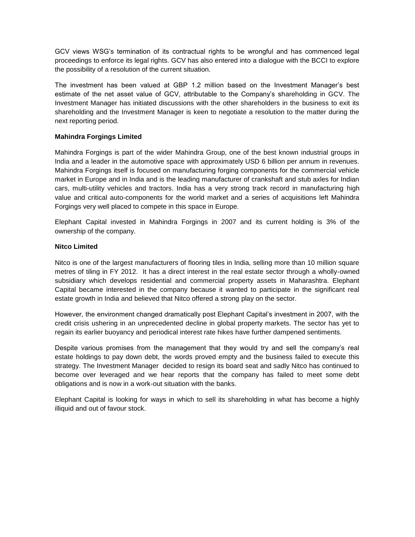GCV views WSG's termination of its contractual rights to be wrongful and has commenced legal proceedings to enforce its legal rights. GCV has also entered into a dialogue with the BCCI to explore the possibility of a resolution of the current situation.

The investment has been valued at GBP 1.2 million based on the Investment Manager's best estimate of the net asset value of GCV, attributable to the Company's shareholding in GCV. The Investment Manager has initiated discussions with the other shareholders in the business to exit its shareholding and the Investment Manager is keen to negotiate a resolution to the matter during the next reporting period.

## **Mahindra Forgings Limited**

Mahindra Forgings is part of the wider Mahindra Group, one of the best known industrial groups in India and a leader in the automotive space with approximately USD 6 billion per annum in revenues. Mahindra Forgings itself is focused on manufacturing forging components for the commercial vehicle market in Europe and in India and is the leading manufacturer of crankshaft and stub axles for Indian cars, multi-utility vehicles and tractors. India has a very strong track record in manufacturing high value and critical auto-components for the world market and a series of acquisitions left Mahindra Forgings very well placed to compete in this space in Europe.

Elephant Capital invested in Mahindra Forgings in 2007 and its current holding is 3% of the ownership of the company.

## **Nitco Limited**

Nitco is one of the largest manufacturers of flooring tiles in India, selling more than 10 million square metres of tiling in FY 2012. It has a direct interest in the real estate sector through a wholly-owned subsidiary which develops residential and commercial property assets in Maharashtra. Elephant Capital became interested in the company because it wanted to participate in the significant real estate growth in India and believed that Nitco offered a strong play on the sector.

However, the environment changed dramatically post Elephant Capital's investment in 2007, with the credit crisis ushering in an unprecedented decline in global property markets. The sector has yet to regain its earlier buoyancy and periodical interest rate hikes have further dampened sentiments.

Despite various promises from the management that they would try and sell the company's real estate holdings to pay down debt, the words proved empty and the business failed to execute this strategy. The Investment Manager decided to resign its board seat and sadly Nitco has continued to become over leveraged and we hear reports that the company has failed to meet some debt obligations and is now in a work-out situation with the banks.

Elephant Capital is looking for ways in which to sell its shareholding in what has become a highly illiquid and out of favour stock.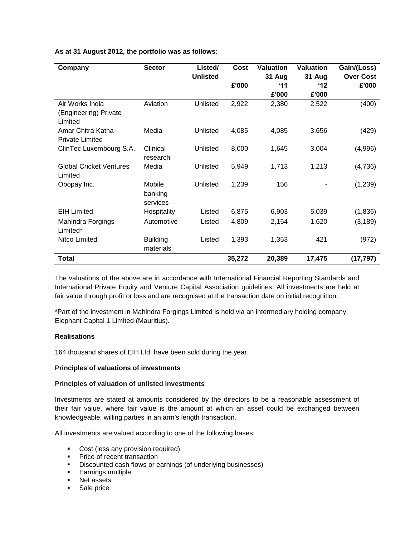| Company                        | <b>Sector</b>   | Listed/<br><b>Unlisted</b> | Cost   | <b>Valuation</b><br>31 Aug | <b>Valuation</b><br>31 Aug | Gain/(Loss)<br><b>Over Cost</b> |
|--------------------------------|-----------------|----------------------------|--------|----------------------------|----------------------------|---------------------------------|
|                                |                 |                            | £'000  | $^4$ 11                    | $^{\prime}$ 12             | £'000                           |
|                                |                 |                            |        | £'000                      | £'000                      |                                 |
| Air Works India                | Aviation        | Unlisted                   | 2,922  | 2,380                      | 2,522                      | (400)                           |
| (Engineering) Private          |                 |                            |        |                            |                            |                                 |
| Limited                        |                 |                            |        |                            |                            |                                 |
| Amar Chitra Katha              | Media           | Unlisted                   | 4,085  | 4,085                      | 3,656                      | (429)                           |
| <b>Private Limited</b>         |                 |                            |        |                            |                            |                                 |
| ClinTec Luxembourg S.A.        | Clinical        | Unlisted                   | 8,000  | 1,645                      | 3,004                      | (4,996)                         |
|                                | research        |                            |        |                            |                            |                                 |
| <b>Global Cricket Ventures</b> | Media           | Unlisted                   | 5,949  | 1,713                      | 1,213                      | (4,736)                         |
| Limited                        |                 |                            |        |                            |                            |                                 |
| Obopay Inc.                    | Mobile          | Unlisted                   | 1,239  | 156                        |                            | (1,239)                         |
|                                | banking         |                            |        |                            |                            |                                 |
|                                | services        |                            |        |                            |                            |                                 |
| <b>EIH Limited</b>             | Hospitality     | Listed                     | 6,875  | 6,903                      | 5,039                      | (1,836)                         |
| Mahindra Forgings              | Automotive      | Listed                     | 4,809  | 2,154                      | 1,620                      | (3, 189)                        |
| Limited*                       |                 |                            |        |                            |                            |                                 |
| Nitco Limited                  | <b>Building</b> | Listed                     | 1,393  | 1,353                      | 421                        | (972)                           |
|                                | materials       |                            |        |                            |                            |                                 |
| <b>Total</b>                   |                 |                            | 35,272 | 20,389                     | 17,475                     | (17, 797)                       |

**As at 31 August 2012, the portfolio was as follows:**

The valuations of the above are in accordance with International Financial Reporting Standards and International Private Equity and Venture Capital Association guidelines. All investments are held at fair value through profit or loss and are recognised at the transaction date on initial recognition.

\*Part of the investment in Mahindra Forgings Limited is held via an intermediary holding company, Elephant Capital 1 Limited (Mauritius).

#### **Realisations**

164 thousand shares of EIH Ltd. have been sold during the year.

#### **Principles of valuations of investments**

#### **Principles of valuation of unlisted investments**

Investments are stated at amounts considered by the directors to be a reasonable assessment of their fair value, where fair value is the amount at which an asset could be exchanged between knowledgeable, willing parties in an arm's length transaction.

All investments are valued according to one of the following bases:

- Cost (less any provision required)
- Price of recent transaction
- **Discounted cash flows or earnings (of underlying businesses)**
- **Earnings multiple**
- Net assets
- Sale price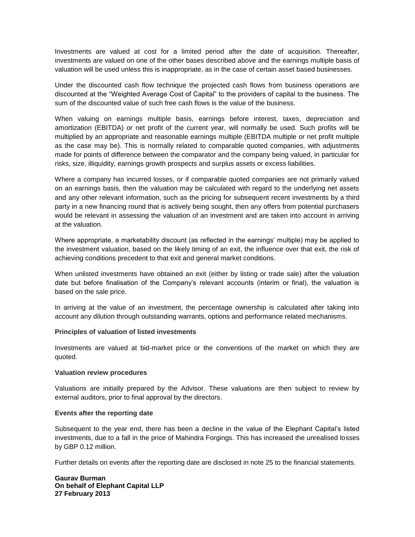Investments are valued at cost for a limited period after the date of acquisition. Thereafter, investments are valued on one of the other bases described above and the earnings multiple basis of valuation will be used unless this is inappropriate, as in the case of certain asset based businesses.

Under the discounted cash flow technique the projected cash flows from business operations are discounted at the "Weighted Average Cost of Capital" to the providers of capital to the business. The sum of the discounted value of such free cash flows is the value of the business.

When valuing on earnings multiple basis, earnings before interest, taxes, depreciation and amortization (EBITDA) or net profit of the current year, will normally be used. Such profits will be multiplied by an appropriate and reasonable earnings multiple (EBITDA multiple or net profit multiple as the case may be). This is normally related to comparable quoted companies, with adjustments made for points of difference between the comparator and the company being valued, in particular for risks, size, illiquidity, earnings growth prospects and surplus assets or excess liabilities.

Where a company has incurred losses, or if comparable quoted companies are not primarily valued on an earnings basis, then the valuation may be calculated with regard to the underlying net assets and any other relevant information, such as the pricing for subsequent recent investments by a third party in a new financing round that is actively being sought, then any offers from potential purchasers would be relevant in assessing the valuation of an investment and are taken into account in arriving at the valuation.

Where appropriate, a marketability discount (as reflected in the earnings' multiple) may be applied to the investment valuation, based on the likely timing of an exit, the influence over that exit, the risk of achieving conditions precedent to that exit and general market conditions.

When unlisted investments have obtained an exit (either by listing or trade sale) after the valuation date but before finalisation of the Company's relevant accounts (interim or final), the valuation is based on the sale price.

In arriving at the value of an investment, the percentage ownership is calculated after taking into account any dilution through outstanding warrants, options and performance related mechanisms.

#### **Principles of valuation of listed investments**

Investments are valued at bid-market price or the conventions of the market on which they are quoted.

#### **Valuation review procedures**

Valuations are initially prepared by the Advisor. These valuations are then subject to review by external auditors, prior to final approval by the directors.

#### **Events after the reporting date**

Subsequent to the year end, there has been a decline in the value of the Elephant Capital's listed investments, due to a fall in the price of Mahindra Forgings. This has increased the unrealised losses by GBP 0.12 million.

Further details on events after the reporting date are disclosed in note 25 to the financial statements.

**Gaurav Burman On behalf of Elephant Capital LLP 27 February 2013**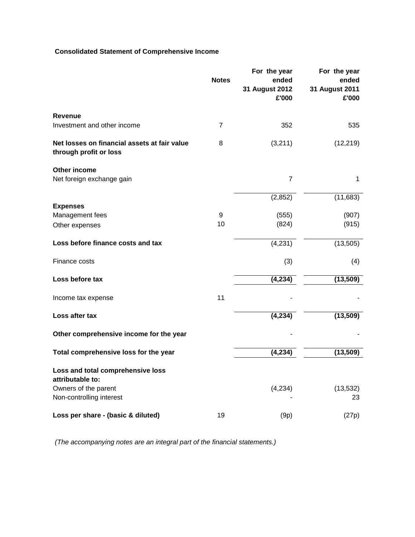# **Consolidated Statement of Comprehensive Income**

|                                                                        | <b>Notes</b>   | For the year<br>ended<br>31 August 2012<br>£'000 | For the year<br>ended<br>31 August 2011<br>£'000 |
|------------------------------------------------------------------------|----------------|--------------------------------------------------|--------------------------------------------------|
| <b>Revenue</b>                                                         |                |                                                  |                                                  |
| Investment and other income                                            | $\overline{7}$ | 352                                              | 535                                              |
| Net losses on financial assets at fair value<br>through profit or loss | 8              | (3,211)                                          | (12, 219)                                        |
| Other income                                                           |                |                                                  |                                                  |
| Net foreign exchange gain                                              |                | $\overline{7}$                                   | 1                                                |
|                                                                        |                | (2,852)                                          | (11,683)                                         |
| <b>Expenses</b><br>Management fees                                     | 9              | (555)                                            | (907)                                            |
| Other expenses                                                         | 10             | (824)                                            | (915)                                            |
| Loss before finance costs and tax                                      |                | (4, 231)                                         | (13, 505)                                        |
| Finance costs                                                          |                | (3)                                              | (4)                                              |
| Loss before tax                                                        |                | (4, 234)                                         | (13, 509)                                        |
| Income tax expense                                                     | 11             |                                                  |                                                  |
| Loss after tax                                                         |                | (4, 234)                                         | (13, 509)                                        |
| Other comprehensive income for the year                                |                |                                                  |                                                  |
| Total comprehensive loss for the year                                  |                | (4, 234)                                         | (13, 509)                                        |
| Loss and total comprehensive loss<br>attributable to:                  |                |                                                  |                                                  |
| Owners of the parent<br>Non-controlling interest                       |                | (4,234)                                          | (13, 532)<br>23                                  |
| Loss per share - (basic & diluted)                                     | 19             | (9p)                                             | (27p)                                            |

*(The accompanying notes are an integral part of the financial statements.)*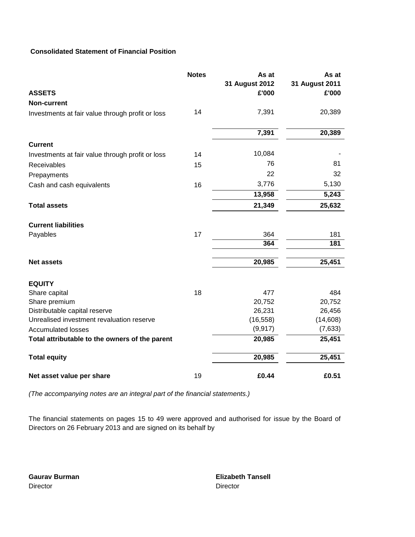# **Consolidated Statement of Financial Position**

|                                                  | <b>Notes</b> | As at<br>31 August 2012 | As at<br>31 August 2011 |
|--------------------------------------------------|--------------|-------------------------|-------------------------|
| <b>ASSETS</b>                                    |              | £'000                   | £'000                   |
| <b>Non-current</b>                               |              |                         |                         |
| Investments at fair value through profit or loss | 14           | 7,391                   | 20,389                  |
|                                                  |              | 7,391                   | 20,389                  |
| <b>Current</b>                                   |              |                         |                         |
| Investments at fair value through profit or loss | 14           | 10,084                  |                         |
| Receivables                                      | 15           | 76                      | 81                      |
| Prepayments                                      |              | 22                      | 32                      |
| Cash and cash equivalents                        | 16           | 3,776                   | 5,130                   |
|                                                  |              | 13,958                  | 5,243                   |
| <b>Total assets</b>                              |              | 21,349                  | 25,632                  |
| <b>Current liabilities</b>                       |              |                         |                         |
| Payables                                         | 17           | 364                     | 181                     |
|                                                  |              | 364                     | 181                     |
| <b>Net assets</b>                                |              | 20,985                  | 25,451                  |
| <b>EQUITY</b>                                    |              |                         |                         |
| Share capital                                    | 18           | 477                     | 484                     |
| Share premium                                    |              | 20,752                  | 20,752                  |
| Distributable capital reserve                    |              | 26,231                  | 26,456                  |
| Unrealised investment revaluation reserve        |              | (16, 558)               | (14,608)                |
| <b>Accumulated losses</b>                        |              | (9, 917)                | (7,633)                 |
| Total attributable to the owners of the parent   |              | 20,985                  | 25,451                  |
| <b>Total equity</b>                              |              | 20,985                  | 25,451                  |
| Net asset value per share                        | 19           | £0.44                   | £0.51                   |

*(The accompanying notes are an integral part of the financial statements.)*

The financial statements on pages 15 to 49 were approved and authorised for issue by the Board of Directors on 26 February 2013 and are signed on its behalf by

Director Director

**Gaurav Burman Elizabeth Tansell**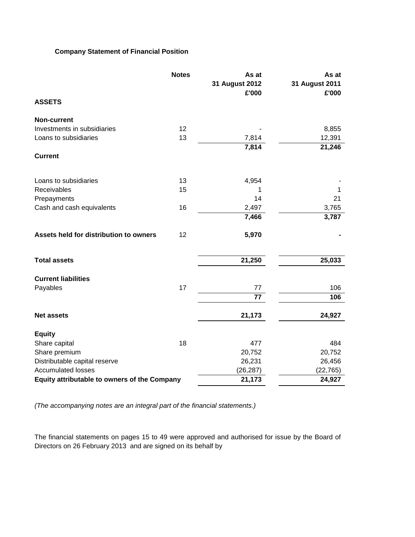# **Company Statement of Financial Position**

|                                                     | <b>Notes</b> | As at<br>31 August 2012<br>£'000 | As at<br>31 August 2011<br>£'000 |
|-----------------------------------------------------|--------------|----------------------------------|----------------------------------|
| <b>ASSETS</b>                                       |              |                                  |                                  |
| <b>Non-current</b>                                  |              |                                  |                                  |
| Investments in subsidiaries                         | 12           |                                  | 8,855                            |
| Loans to subsidiaries                               | 13           | 7,814                            | 12,391                           |
|                                                     |              | 7,814                            | 21,246                           |
| <b>Current</b>                                      |              |                                  |                                  |
| Loans to subsidiaries                               | 13           | 4,954                            |                                  |
| Receivables                                         | 15           | 1                                | 1                                |
| Prepayments                                         |              | 14                               | 21                               |
| Cash and cash equivalents                           | 16           | 2,497                            | 3,765                            |
|                                                     |              | 7,466                            | 3,787                            |
| Assets held for distribution to owners              | 12           | 5,970                            |                                  |
| <b>Total assets</b>                                 |              | 21,250                           | 25,033                           |
| <b>Current liabilities</b>                          |              |                                  |                                  |
| Payables                                            | 17           | 77                               | 106                              |
|                                                     |              | 77                               | 106                              |
| <b>Net assets</b>                                   |              | 21,173                           | 24,927                           |
| <b>Equity</b>                                       |              |                                  |                                  |
| Share capital                                       | 18           | 477                              | 484                              |
| Share premium                                       |              | 20,752                           | 20,752                           |
| Distributable capital reserve                       |              | 26,231                           | 26,456                           |
| <b>Accumulated losses</b>                           |              | (26, 287)                        | (22, 765)                        |
| <b>Equity attributable to owners of the Company</b> |              | 21,173                           | 24,927                           |

*(The accompanying notes are an integral part of the financial statements.)*

The financial statements on pages 15 to 49 were approved and authorised for issue by the Board of Directors on 26 February 2013 and are signed on its behalf by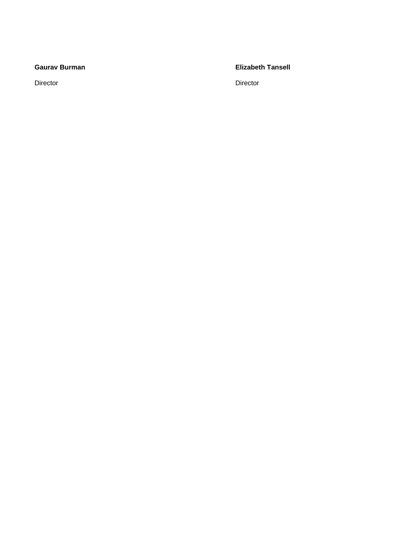Director **Director** Director

## **Gaurav Burman Elizabeth Tansell**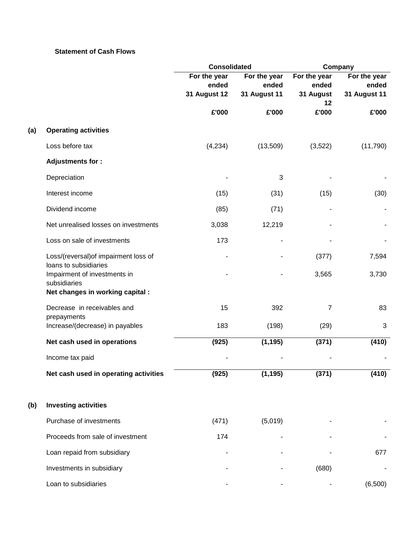## **Statement of Cash Flows**

|     |                                                       | <b>Consolidated</b>                          |                                       | Company                            |                                              |
|-----|-------------------------------------------------------|----------------------------------------------|---------------------------------------|------------------------------------|----------------------------------------------|
|     |                                                       | For the year<br>ended<br><b>31 August 12</b> | For the year<br>ended<br>31 August 11 | For the year<br>ended<br>31 August | For the year<br>ended<br><b>31 August 11</b> |
|     |                                                       |                                              |                                       | 12                                 |                                              |
|     |                                                       | £'000                                        | £'000                                 | £'000                              | £'000                                        |
| (a) | <b>Operating activities</b>                           |                                              |                                       |                                    |                                              |
|     | Loss before tax                                       | (4,234)                                      | (13,509)                              | (3,522)                            | (11,790)                                     |
|     | <b>Adjustments for:</b>                               |                                              |                                       |                                    |                                              |
|     | Depreciation                                          |                                              | 3                                     |                                    |                                              |
|     | Interest income                                       | (15)                                         | (31)                                  | (15)                               | (30)                                         |
|     | Dividend income                                       | (85)                                         | (71)                                  |                                    |                                              |
|     | Net unrealised losses on investments                  | 3,038                                        | 12,219                                |                                    |                                              |
|     | Loss on sale of investments                           | 173                                          |                                       |                                    |                                              |
|     | Loss/(reversal) of impairment loss of                 |                                              |                                       | (377)                              | 7,594                                        |
|     | loans to subsidiaries<br>Impairment of investments in |                                              |                                       | 3,565                              | 3,730                                        |
|     | subsidiaries                                          |                                              |                                       |                                    |                                              |
|     | Net changes in working capital :                      |                                              |                                       |                                    |                                              |
|     | Decrease in receivables and<br>prepayments            | 15                                           | 392                                   | 7                                  | 83                                           |
|     | Increase/(decrease) in payables                       | 183                                          | (198)                                 | (29)                               | $\mathbf{3}$                                 |
|     | Net cash used in operations                           | (925)                                        | (1, 195)                              | (371)                              | (410)                                        |
|     | Income tax paid                                       |                                              |                                       |                                    |                                              |
|     | Net cash used in operating activities                 | (925)                                        | (1, 195)                              | (371)                              | (410)                                        |
|     |                                                       |                                              |                                       |                                    |                                              |
| (b) | <b>Investing activities</b>                           |                                              |                                       |                                    |                                              |
|     | Purchase of investments                               | (471)                                        | (5,019)                               |                                    |                                              |
|     | Proceeds from sale of investment                      | 174                                          |                                       |                                    |                                              |
|     | Loan repaid from subsidiary                           |                                              |                                       |                                    | 677                                          |
|     | Investments in subsidiary                             |                                              |                                       | (680)                              |                                              |
|     | Loan to subsidiaries                                  |                                              |                                       |                                    | (6,500)                                      |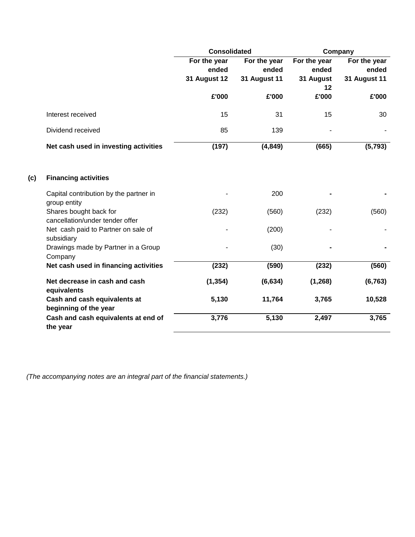|     |                                                           | <b>Consolidated</b>   |                       | Company               |                       |
|-----|-----------------------------------------------------------|-----------------------|-----------------------|-----------------------|-----------------------|
|     |                                                           | For the year<br>ended | For the year<br>ended | For the year<br>ended | For the year<br>ended |
|     |                                                           | <b>31 August 12</b>   | <b>31 August 11</b>   | 31 August<br>12       | <b>31 August 11</b>   |
|     |                                                           | £'000                 | £'000                 | £'000                 | £'000                 |
|     | Interest received                                         | 15                    | 31                    | 15                    | 30                    |
|     | Dividend received                                         | 85                    | 139                   |                       |                       |
|     | Net cash used in investing activities                     | (197)                 | (4, 849)              | (665)                 | (5,793)               |
| (c) | <b>Financing activities</b>                               |                       |                       |                       |                       |
|     | Capital contribution by the partner in<br>group entity    |                       | 200                   |                       |                       |
|     | Shares bought back for<br>cancellation/under tender offer | (232)                 | (560)                 | (232)                 | (560)                 |
|     | Net cash paid to Partner on sale of<br>subsidiary         |                       | (200)                 |                       |                       |
|     | Drawings made by Partner in a Group<br>Company            |                       | (30)                  |                       |                       |
|     | Net cash used in financing activities                     | (232)                 | (590)                 | (232)                 | (560)                 |
|     | Net decrease in cash and cash<br>equivalents              | (1, 354)              | (6, 634)              | (1, 268)              | (6, 763)              |
|     | Cash and cash equivalents at<br>beginning of the year     | 5,130                 | 11,764                | 3,765                 | 10,528                |
|     | Cash and cash equivalents at end of<br>the year           | 3,776                 | 5,130                 | 2,497                 | 3,765                 |

*(The accompanying notes are an integral part of the financial statements.)*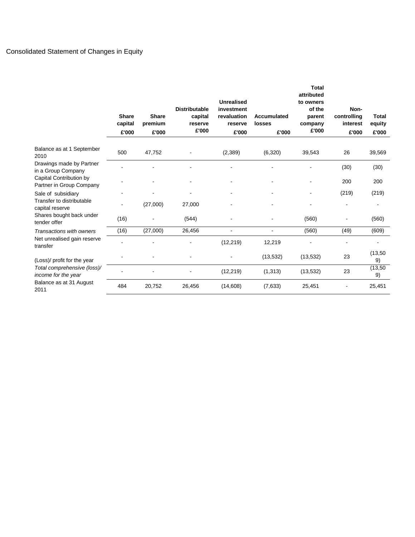# Consolidated Statement of Changes in Equity

|                                                     | <b>Share</b><br>capital<br>£'000 | <b>Share</b><br>premium<br>£'000 | <b>Distributable</b><br>capital<br>reserve<br>£'000 | <b>Unrealised</b><br>investment<br>revaluation<br>reserve<br>£'000 | Accumulated<br><b>losses</b><br>£'000 | <b>Total</b><br>attributed<br>to owners<br>of the<br>parent<br>company<br>£'000 | Non-<br>controlling<br>interest<br>£'000 | <b>Total</b><br>equity<br>£'000 |
|-----------------------------------------------------|----------------------------------|----------------------------------|-----------------------------------------------------|--------------------------------------------------------------------|---------------------------------------|---------------------------------------------------------------------------------|------------------------------------------|---------------------------------|
| Balance as at 1 September<br>2010                   | 500                              | 47,752                           |                                                     | (2,389)                                                            | (6,320)                               | 39,543                                                                          | 26                                       | 39,569                          |
| Drawings made by Partner<br>in a Group Company      |                                  |                                  |                                                     |                                                                    |                                       |                                                                                 | (30)                                     | (30)                            |
| Capital Contribution by<br>Partner in Group Company |                                  |                                  |                                                     |                                                                    |                                       |                                                                                 | 200                                      | 200                             |
| Sale of subsidiary                                  |                                  |                                  |                                                     |                                                                    |                                       | $\overline{a}$                                                                  | (219)                                    | (219)                           |
| Transfer to distributable<br>capital reserve        |                                  | (27,000)                         | 27,000                                              |                                                                    |                                       |                                                                                 |                                          |                                 |
| Shares bought back under<br>tender offer            | (16)                             |                                  | (544)                                               |                                                                    |                                       | (560)                                                                           |                                          | (560)                           |
| Transactions with owners                            | (16)                             | (27,000)                         | 26,456                                              | ۰                                                                  | $\qquad \qquad \blacksquare$          | (560)                                                                           | (49)                                     | (609)                           |
| Net unrealised gain reserve<br>transfer             |                                  |                                  |                                                     | (12, 219)                                                          | 12,219                                |                                                                                 |                                          |                                 |
| (Loss)/ profit for the year                         |                                  |                                  |                                                     |                                                                    | (13, 532)                             | (13, 532)                                                                       | 23                                       | (13, 50)<br>9)                  |
| Total comprehensive (loss)/<br>income for the year  |                                  |                                  |                                                     | (12, 219)                                                          | (1, 313)                              | (13, 532)                                                                       | 23                                       | (13, 50)<br>9)                  |
| Balance as at 31 August<br>2011                     | 484                              | 20,752                           | 26,456                                              | (14,608)                                                           | (7,633)                               | 25,451                                                                          |                                          | 25,451                          |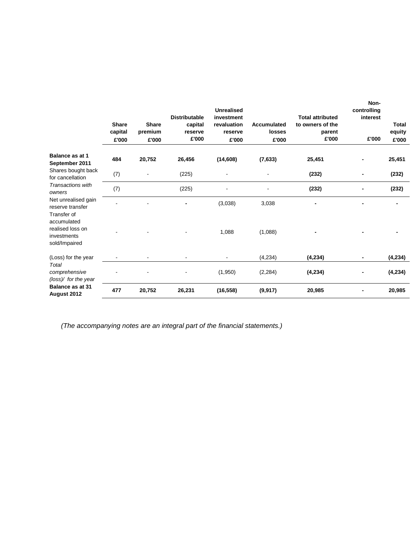|                                                                       | <b>Share</b><br>capital<br>£'000 | <b>Share</b><br>premium<br>£'000 | <b>Distributable</b><br>capital<br>reserve<br>£'000 | <b>Unrealised</b><br>investment<br>revaluation<br>reserve<br>£'000 | Accumulated<br>losses<br>£'000 | <b>Total attributed</b><br>to owners of the<br>parent<br>£'000 | Non-<br>controlling<br>interest<br>£'000 | <b>Total</b><br>equity<br>£'000 |
|-----------------------------------------------------------------------|----------------------------------|----------------------------------|-----------------------------------------------------|--------------------------------------------------------------------|--------------------------------|----------------------------------------------------------------|------------------------------------------|---------------------------------|
| Balance as at 1<br>September 2011                                     | 484                              | 20,752                           | 26,456                                              | (14, 608)                                                          | (7,633)                        | 25,451                                                         |                                          | 25,451                          |
| Shares bought back<br>for cancellation                                | (7)                              |                                  | (225)                                               |                                                                    |                                | (232)                                                          |                                          | (232)                           |
| Transactions with<br>owners                                           | (7)                              |                                  | (225)                                               |                                                                    |                                | (232)                                                          |                                          | (232)                           |
| Net unrealised gain<br>reserve transfer<br>Transfer of<br>accumulated |                                  |                                  |                                                     | (3,038)                                                            | 3,038                          | -                                                              |                                          |                                 |
| realised loss on<br>investments<br>sold/Impaired                      |                                  |                                  |                                                     | 1,088                                                              | (1,088)                        |                                                                |                                          |                                 |
| (Loss) for the year                                                   |                                  |                                  |                                                     |                                                                    | (4,234)                        | (4, 234)                                                       |                                          | (4, 234)                        |
| Total<br>comprehensive<br>(loss)/ for the year                        |                                  |                                  |                                                     | (1,950)                                                            | (2, 284)                       | (4,234)                                                        |                                          | (4,234)                         |
| <b>Balance as at 31</b><br>August 2012                                | 477                              | 20,752                           | 26,231                                              | (16, 558)                                                          | (9, 917)                       | 20,985                                                         |                                          | 20,985                          |

*(The accompanying notes are an integral part of the financial statements.)*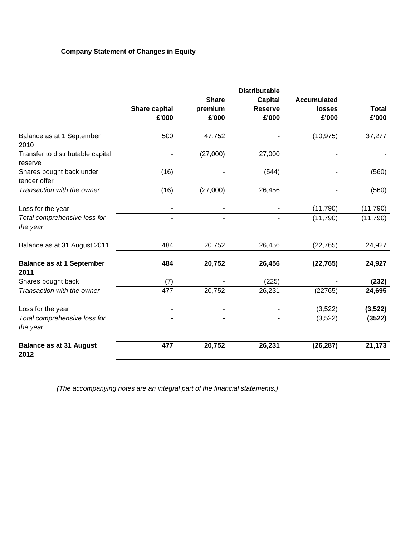# **Company Statement of Changes in Equity**

|                                              |                      |                | <b>Distributable</b> |                          |              |
|----------------------------------------------|----------------------|----------------|----------------------|--------------------------|--------------|
|                                              |                      | <b>Share</b>   | <b>Capital</b>       | <b>Accumulated</b>       |              |
|                                              | <b>Share capital</b> | premium        | <b>Reserve</b>       | losses                   | <b>Total</b> |
|                                              | £'000                | £'000          | £'000                | £'000                    | £'000        |
| Balance as at 1 September<br>2010            | 500                  | 47,752         |                      | (10, 975)                | 37,277       |
| Transfer to distributable capital<br>reserve |                      | (27,000)       | 27,000               |                          |              |
| Shares bought back under<br>tender offer     | (16)                 |                | (544)                |                          | (560)        |
| Transaction with the owner                   | (16)                 | (27,000)       | 26,456               | $\overline{\phantom{a}}$ | (560)        |
| Loss for the year                            |                      |                |                      | (11,790)                 | (11, 790)    |
| Total comprehensive loss for<br>the year     |                      |                |                      | (11,790)                 | (11,790)     |
| Balance as at 31 August 2011                 | 484                  | 20,752         | 26,456               | (22, 765)                | 24,927       |
| <b>Balance as at 1 September</b><br>2011     | 484                  | 20,752         | 26,456               | (22, 765)                | 24,927       |
| Shares bought back                           | (7)                  |                | (225)                |                          | (232)        |
| Transaction with the owner                   | 477                  | 20,752         | 26,231               | (22765)                  | 24,695       |
| Loss for the year                            |                      |                |                      | (3,522)                  | (3, 522)     |
| Total comprehensive loss for<br>the year     | $\blacksquare$       | $\blacksquare$ | $\blacksquare$       | (3,522)                  | (3522)       |
| <b>Balance as at 31 August</b><br>2012       | 477                  | 20,752         | 26,231               | (26, 287)                | 21,173       |

 *(The accompanying notes are an integral part of the financial statements.)*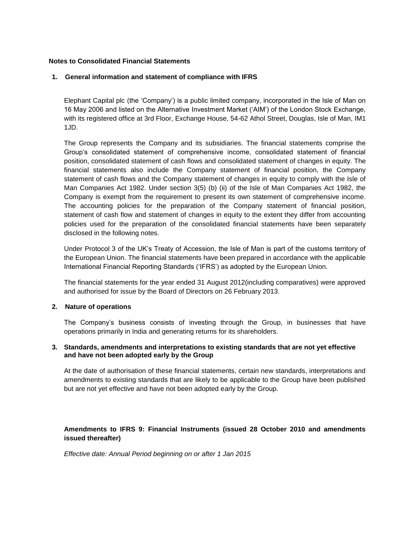### **Notes to Consolidated Financial Statements**

## **1. General information and statement of compliance with IFRS**

Elephant Capital plc (the 'Company') is a public limited company, incorporated in the Isle of Man on 16 May 2006 and listed on the Alternative Investment Market ('AIM') of the London Stock Exchange, with its registered office at 3rd Floor, Exchange House, 54-62 Athol Street, Douglas, Isle of Man, IM1 1JD.

The Group represents the Company and its subsidiaries. The financial statements comprise the Group's consolidated statement of comprehensive income, consolidated statement of financial position, consolidated statement of cash flows and consolidated statement of changes in equity. The financial statements also include the Company statement of financial position, the Company statement of cash flows and the Company statement of changes in equity to comply with the Isle of Man Companies Act 1982. Under section 3(5) (b) (ii) of the Isle of Man Companies Act 1982, the Company is exempt from the requirement to present its own statement of comprehensive income. The accounting policies for the preparation of the Company statement of financial position, statement of cash flow and statement of changes in equity to the extent they differ from accounting policies used for the preparation of the consolidated financial statements have been separately disclosed in the following notes.

Under Protocol 3 of the UK's Treaty of Accession, the Isle of Man is part of the customs territory of the European Union. The financial statements have been prepared in accordance with the applicable International Financial Reporting Standards ('IFRS') as adopted by the European Union.

The financial statements for the year ended 31 August 2012(including comparatives) were approved and authorised for issue by the Board of Directors on 26 February 2013.

#### **2. Nature of operations**

The Company's business consists of investing through the Group, in businesses that have operations primarily in India and generating returns for its shareholders.

## **3. Standards, amendments and interpretations to existing standards that are not yet effective and have not been adopted early by the Group**

At the date of authorisation of these financial statements, certain new standards, interpretations and amendments to existing standards that are likely to be applicable to the Group have been published but are not yet effective and have not been adopted early by the Group.

## **Amendments to IFRS 9: Financial Instruments (issued 28 October 2010 and amendments issued thereafter)**

*Effective date: Annual Period beginning on or after 1 Jan 2015*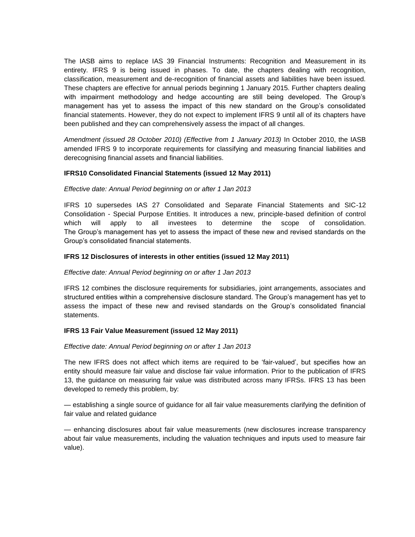The IASB aims to replace IAS 39 Financial Instruments: Recognition and Measurement in its entirety. IFRS 9 is being issued in phases. To date, the chapters dealing with recognition, classification, measurement and de-recognition of financial assets and liabilities have been issued. These chapters are effective for annual periods beginning 1 January 2015. Further chapters dealing with impairment methodology and hedge accounting are still being developed. The Group's management has yet to assess the impact of this new standard on the Group's consolidated financial statements. However, they do not expect to implement IFRS 9 until all of its chapters have been published and they can comprehensively assess the impact of all changes.

*Amendment (issued 28 October 2010) (Effective from 1 January 2013)* In October 2010, the IASB amended IFRS 9 to incorporate requirements for classifying and measuring financial liabilities and derecognising financial assets and financial liabilities.

## **IFRS10 Consolidated Financial Statements (issued 12 May 2011)**

#### *Effective date: Annual Period beginning on or after 1 Jan 2013*

IFRS 10 supersedes IAS 27 Consolidated and Separate Financial Statements and SIC-12 Consolidation - Special Purpose Entities. It introduces a new, principle-based definition of control which will apply to all investees to determine the scope of consolidation. The Group's management has yet to assess the impact of these new and revised standards on the Group's consolidated financial statements.

## **IFRS 12 Disclosures of interests in other entities (issued 12 May 2011)**

#### *Effective date: Annual Period beginning on or after 1 Jan 2013*

IFRS 12 combines the disclosure requirements for subsidiaries, joint arrangements, associates and structured entities within a comprehensive disclosure standard. The Group's management has yet to assess the impact of these new and revised standards on the Group's consolidated financial statements.

#### **IFRS 13 Fair Value Measurement (issued 12 May 2011)**

#### *Effective date: Annual Period beginning on or after 1 Jan 2013*

The new IFRS does not affect which items are required to be 'fair-valued', but specifies how an entity should measure fair value and disclose fair value information. Prior to the publication of IFRS 13, the guidance on measuring fair value was distributed across many IFRSs. IFRS 13 has been developed to remedy this problem, by:

— establishing a single source of guidance for all fair value measurements clarifying the definition of fair value and related guidance

— enhancing disclosures about fair value measurements (new disclosures increase transparency about fair value measurements, including the valuation techniques and inputs used to measure fair value).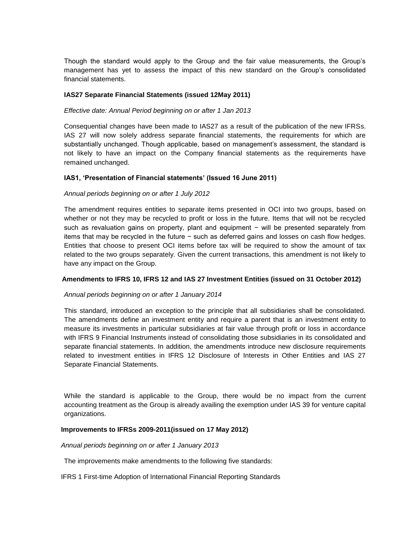Though the standard would apply to the Group and the fair value measurements, the Group's management has yet to assess the impact of this new standard on the Group's consolidated financial statements.

### **IAS27 Separate Financial Statements (issued 12May 2011)**

### *Effective date: Annual Period beginning on or after 1 Jan 2013*

Consequential changes have been made to IAS27 as a result of the publication of the new IFRSs. IAS 27 will now solely address separate financial statements, the requirements for which are substantially unchanged. Though applicable, based on management's assessment, the standard is not likely to have an impact on the Company financial statements as the requirements have remained unchanged.

## **IAS1, 'Presentation of Financial statements' (Issued 16 June 2011)**

#### *Annual periods beginning on or after 1 July 2012*

The amendment requires entities to separate items presented in OCI into two groups, based on whether or not they may be recycled to profit or loss in the future. Items that will not be recycled such as revaluation gains on property, plant and equipment − will be presented separately from items that may be recycled in the future − such as deferred gains and losses on cash flow hedges. Entities that choose to present OCI items before tax will be required to show the amount of tax related to the two groups separately. Given the current transactions, this amendment is not likely to have any impact on the Group.

#### **Amendments to IFRS 10, IFRS 12 and IAS 27 Investment Entities (issued on 31 October 2012)**

#### *Annual periods beginning on or after 1 January 2014*

This standard, introduced an exception to the principle that all subsidiaries shall be consolidated. The amendments define an investment entity and require a parent that is an investment entity to measure its investments in particular subsidiaries at fair value through profit or loss in accordance with IFRS 9 Financial Instruments instead of consolidating those subsidiaries in its consolidated and separate financial statements. In addition, the amendments introduce new disclosure requirements related to investment entities in IFRS 12 Disclosure of Interests in Other Entities and IAS 27 Separate Financial Statements.

While the standard is applicable to the Group, there would be no impact from the current accounting treatment as the Group is already availing the exemption under IAS 39 for venture capital organizations.

#### **Improvements to IFRSs 2009-2011(issued on 17 May 2012)**

#### *Annual periods beginning on or after 1 January 2013*

The improvements make amendments to the following five standards:

IFRS 1 First-time Adoption of International Financial Reporting Standards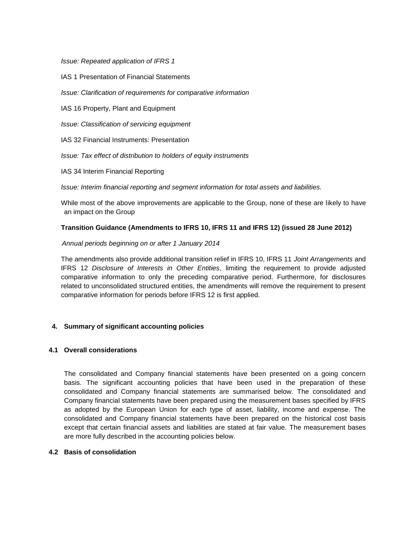*Issue: Repeated application of IFRS 1*

IAS 1 Presentation of Financial Statements

*Issue: Clarification of requirements for comparative information*

IAS 16 Property, Plant and Equipment

*Issue: Classification of servicing equipment*

IAS 32 Financial Instruments: Presentation

*Issue: Tax effect of distribution to holders of equity instruments*

IAS 34 Interim Financial Reporting

*Issue: Interim financial reporting and segment information for total assets and liabilities.*

While most of the above improvements are applicable to the Group, none of these are likely to have an impact on the Group

## **Transition Guidance (Amendments to IFRS 10, IFRS 11 and IFRS 12) (issued 28 June 2012)**

## *Annual periods beginning on or after 1 January 2014*

The amendments also provide additional transition relief in IFRS 10, IFRS 11 *Joint Arrangements* and IFRS 12 *Disclosure of Interests in Other Entities*, limiting the requirement to provide adjusted comparative information to only the preceding comparative period. Furthermore, for disclosures related to unconsolidated structured entities, the amendments will remove the requirement to present comparative information for periods before IFRS 12 is first applied.

## **4. Summary of significant accounting policies**

#### **4.1 Overall considerations**

The consolidated and Company financial statements have been presented on a going concern basis. The significant accounting policies that have been used in the preparation of these consolidated and Company financial statements are summarised below. The consolidated and Company financial statements have been prepared using the measurement bases specified by IFRS as adopted by the European Union for each type of asset, liability, income and expense. The consolidated and Company financial statements have been prepared on the historical cost basis except that certain financial assets and liabilities are stated at fair value. The measurement bases are more fully described in the accounting policies below.

#### **4.2 Basis of consolidation**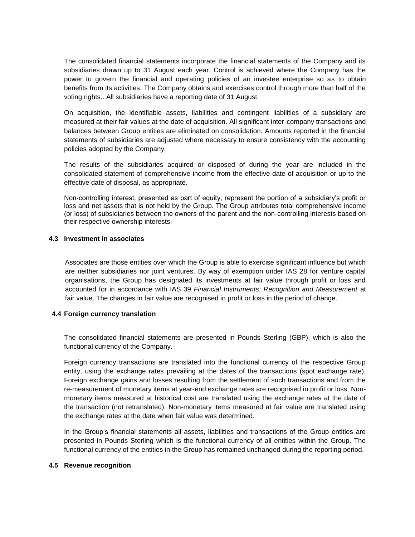The consolidated financial statements incorporate the financial statements of the Company and its subsidiaries drawn up to 31 August each year. Control is achieved where the Company has the power to govern the financial and operating policies of an investee enterprise so as to obtain benefits from its activities. The Company obtains and exercises control through more than half of the voting rights.. All subsidiaries have a reporting date of 31 August.

On acquisition, the identifiable assets, liabilities and contingent liabilities of a subsidiary are measured at their fair values at the date of acquisition. All significant inter-company transactions and balances between Group entities are eliminated on consolidation. Amounts reported in the financial statements of subsidiaries are adjusted where necessary to ensure consistency with the accounting policies adopted by the Company.

The results of the subsidiaries acquired or disposed of during the year are included in the consolidated statement of comprehensive income from the effective date of acquisition or up to the effective date of disposal, as appropriate.

Non-controlling interest, presented as part of equity, represent the portion of a subsidiary's profit or loss and net assets that is not held by the Group. The Group attributes total comprehensive income (or loss) of subsidiaries between the owners of the parent and the non-controlling interests based on their respective ownership interests.

## **4.3 Investment in associates**

Associates are those entities over which the Group is able to exercise significant influence but which are neither subsidiaries nor joint ventures. By way of exemption under IAS 28 for venture capital organisations, the Group has designated its investments at fair value through profit or loss and accounted for in accordance with IAS 39 *Financial Instruments: Recognition and Measurement* at fair value. The changes in fair value are recognised in profit or loss in the period of change.

#### **4.4 Foreign currency translation**

The consolidated financial statements are presented in Pounds Sterling (GBP), which is also the functional currency of the Company.

Foreign currency transactions are translated into the functional currency of the respective Group entity, using the exchange rates prevailing at the dates of the transactions (spot exchange rate). Foreign exchange gains and losses resulting from the settlement of such transactions and from the re-measurement of monetary items at year-end exchange rates are recognised in profit or loss. Nonmonetary items measured at historical cost are translated using the exchange rates at the date of the transaction (not retranslated). Non-monetary items measured at fair value are translated using the exchange rates at the date when fair value was determined.

In the Group's financial statements all assets, liabilities and transactions of the Group entities are presented in Pounds Sterling which is the functional currency of all entities within the Group. The functional currency of the entities in the Group has remained unchanged during the reporting period.

#### **4.5 Revenue recognition**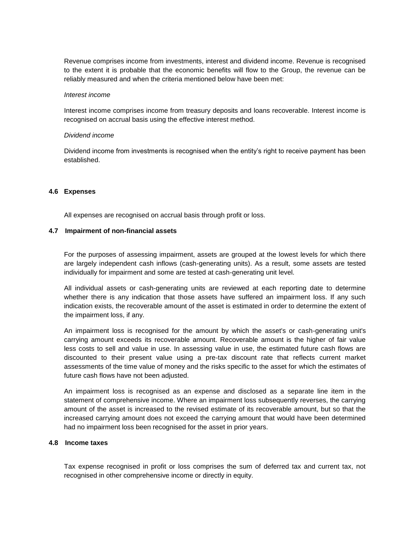Revenue comprises income from investments, interest and dividend income. Revenue is recognised to the extent it is probable that the economic benefits will flow to the Group, the revenue can be reliably measured and when the criteria mentioned below have been met:

#### *Interest income*

Interest income comprises income from treasury deposits and loans recoverable. Interest income is recognised on accrual basis using the effective interest method.

#### *Dividend income*

Dividend income from investments is recognised when the entity's right to receive payment has been established.

#### **4.6 Expenses**

All expenses are recognised on accrual basis through profit or loss.

#### **4.7 Impairment of non-financial assets**

For the purposes of assessing impairment, assets are grouped at the lowest levels for which there are largely independent cash inflows (cash-generating units). As a result, some assets are tested individually for impairment and some are tested at cash-generating unit level.

All individual assets or cash-generating units are reviewed at each reporting date to determine whether there is any indication that those assets have suffered an impairment loss. If any such indication exists, the recoverable amount of the asset is estimated in order to determine the extent of the impairment loss, if any.

An impairment loss is recognised for the amount by which the asset's or cash-generating unit's carrying amount exceeds its recoverable amount. Recoverable amount is the higher of fair value less costs to sell and value in use. In assessing value in use, the estimated future cash flows are discounted to their present value using a pre-tax discount rate that reflects current market assessments of the time value of money and the risks specific to the asset for which the estimates of future cash flows have not been adjusted.

An impairment loss is recognised as an expense and disclosed as a separate line item in the statement of comprehensive income. Where an impairment loss subsequently reverses, the carrying amount of the asset is increased to the revised estimate of its recoverable amount, but so that the increased carrying amount does not exceed the carrying amount that would have been determined had no impairment loss been recognised for the asset in prior years.

#### **4.8 Income taxes**

Tax expense recognised in profit or loss comprises the sum of deferred tax and current tax, not recognised in other comprehensive income or directly in equity.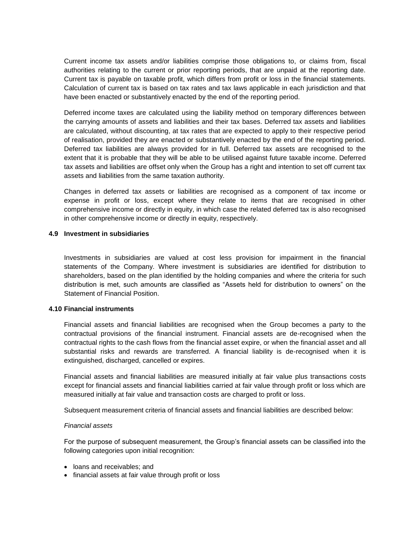Current income tax assets and/or liabilities comprise those obligations to, or claims from, fiscal authorities relating to the current or prior reporting periods, that are unpaid at the reporting date. Current tax is payable on taxable profit, which differs from profit or loss in the financial statements. Calculation of current tax is based on tax rates and tax laws applicable in each jurisdiction and that have been enacted or substantively enacted by the end of the reporting period.

Deferred income taxes are calculated using the liability method on temporary differences between the carrying amounts of assets and liabilities and their tax bases. Deferred tax assets and liabilities are calculated, without discounting, at tax rates that are expected to apply to their respective period of realisation, provided they are enacted or substantively enacted by the end of the reporting period. Deferred tax liabilities are always provided for in full. Deferred tax assets are recognised to the extent that it is probable that they will be able to be utilised against future taxable income. Deferred tax assets and liabilities are offset only when the Group has a right and intention to set off current tax assets and liabilities from the same taxation authority.

Changes in deferred tax assets or liabilities are recognised as a component of tax income or expense in profit or loss, except where they relate to items that are recognised in other comprehensive income or directly in equity, in which case the related deferred tax is also recognised in other comprehensive income or directly in equity, respectively.

#### **4.9 Investment in subsidiaries**

Investments in subsidiaries are valued at cost less provision for impairment in the financial statements of the Company. Where investment is subsidiaries are identified for distribution to shareholders, based on the plan identified by the holding companies and where the criteria for such distribution is met, such amounts are classified as "Assets held for distribution to owners" on the Statement of Financial Position.

#### **4.10 Financial instruments**

Financial assets and financial liabilities are recognised when the Group becomes a party to the contractual provisions of the financial instrument. Financial assets are de-recognised when the contractual rights to the cash flows from the financial asset expire, or when the financial asset and all substantial risks and rewards are transferred. A financial liability is de-recognised when it is extinguished, discharged, cancelled or expires.

Financial assets and financial liabilities are measured initially at fair value plus transactions costs except for financial assets and financial liabilities carried at fair value through profit or loss which are measured initially at fair value and transaction costs are charged to profit or loss.

Subsequent measurement criteria of financial assets and financial liabilities are described below:

#### *Financial assets*

For the purpose of subsequent measurement, the Group's financial assets can be classified into the following categories upon initial recognition:

- loans and receivables; and
- financial assets at fair value through profit or loss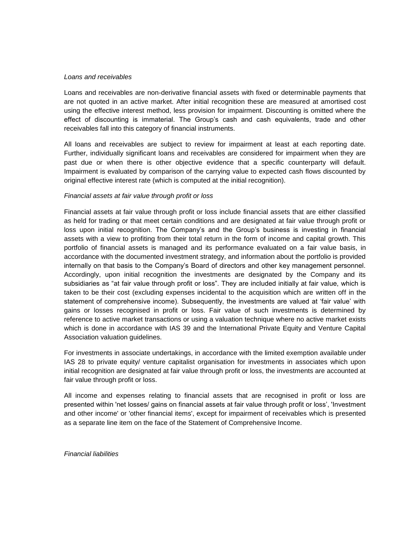#### *Loans and receivables*

Loans and receivables are non-derivative financial assets with fixed or determinable payments that are not quoted in an active market. After initial recognition these are measured at amortised cost using the effective interest method, less provision for impairment. Discounting is omitted where the effect of discounting is immaterial. The Group's cash and cash equivalents, trade and other receivables fall into this category of financial instruments.

All loans and receivables are subject to review for impairment at least at each reporting date. Further, individually significant loans and receivables are considered for impairment when they are past due or when there is other objective evidence that a specific counterparty will default. Impairment is evaluated by comparison of the carrying value to expected cash flows discounted by original effective interest rate (which is computed at the initial recognition).

#### *Financial assets at fair value through profit or loss*

Financial assets at fair value through profit or loss include financial assets that are either classified as held for trading or that meet certain conditions and are designated at fair value through profit or loss upon initial recognition. The Company's and the Group's business is investing in financial assets with a view to profiting from their total return in the form of income and capital growth. This portfolio of financial assets is managed and its performance evaluated on a fair value basis, in accordance with the documented investment strategy, and information about the portfolio is provided internally on that basis to the Company's Board of directors and other key management personnel. Accordingly, upon initial recognition the investments are designated by the Company and its subsidiaries as "at fair value through profit or loss". They are included initially at fair value, which is taken to be their cost (excluding expenses incidental to the acquisition which are written off in the statement of comprehensive income). Subsequently, the investments are valued at 'fair value' with gains or losses recognised in profit or loss. Fair value of such investments is determined by reference to active market transactions or using a valuation technique where no active market exists which is done in accordance with IAS 39 and the International Private Equity and Venture Capital Association valuation guidelines.

For investments in associate undertakings, in accordance with the limited exemption available under IAS 28 to private equity/ venture capitalist organisation for investments in associates which upon initial recognition are designated at fair value through profit or loss, the investments are accounted at fair value through profit or loss.

All income and expenses relating to financial assets that are recognised in profit or loss are presented within 'net losses/ gains on financial assets at fair value through profit or loss', 'Investment and other income' or 'other financial items', except for impairment of receivables which is presented as a separate line item on the face of the Statement of Comprehensive Income.

*Financial liabilities*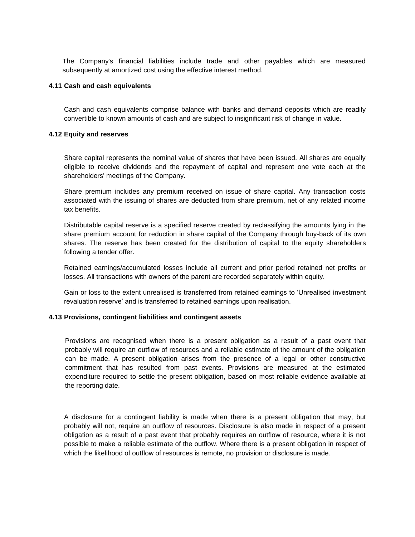The Company's financial liabilities include trade and other payables which are measured subsequently at amortized cost using the effective interest method.

#### **4.11 Cash and cash equivalents**

Cash and cash equivalents comprise balance with banks and demand deposits which are readily convertible to known amounts of cash and are subject to insignificant risk of change in value.

#### **4.12 Equity and reserves**

Share capital represents the nominal value of shares that have been issued. All shares are equally eligible to receive dividends and the repayment of capital and represent one vote each at the shareholders' meetings of the Company.

Share premium includes any premium received on issue of share capital. Any transaction costs associated with the issuing of shares are deducted from share premium, net of any related income tax benefits.

Distributable capital reserve is a specified reserve created by reclassifying the amounts lying in the share premium account for reduction in share capital of the Company through buy-back of its own shares. The reserve has been created for the distribution of capital to the equity shareholders following a tender offer.

Retained earnings/accumulated losses include all current and prior period retained net profits or losses. All transactions with owners of the parent are recorded separately within equity.

Gain or loss to the extent unrealised is transferred from retained earnings to 'Unrealised investment revaluation reserve' and is transferred to retained earnings upon realisation.

#### **4.13 Provisions, contingent liabilities and contingent assets**

Provisions are recognised when there is a present obligation as a result of a past event that probably will require an outflow of resources and a reliable estimate of the amount of the obligation can be made. A present obligation arises from the presence of a legal or other constructive commitment that has resulted from past events. Provisions are measured at the estimated expenditure required to settle the present obligation, based on most reliable evidence available at the reporting date.

A disclosure for a contingent liability is made when there is a present obligation that may, but probably will not, require an outflow of resources. Disclosure is also made in respect of a present obligation as a result of a past event that probably requires an outflow of resource, where it is not possible to make a reliable estimate of the outflow. Where there is a present obligation in respect of which the likelihood of outflow of resources is remote, no provision or disclosure is made.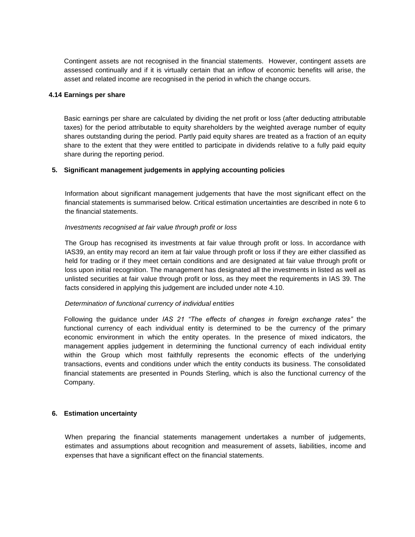Contingent assets are not recognised in the financial statements. However, contingent assets are assessed continually and if it is virtually certain that an inflow of economic benefits will arise, the asset and related income are recognised in the period in which the change occurs.

### **4.14 Earnings per share**

Basic earnings per share are calculated by dividing the net profit or loss (after deducting attributable taxes) for the period attributable to equity shareholders by the weighted average number of equity shares outstanding during the period. Partly paid equity shares are treated as a fraction of an equity share to the extent that they were entitled to participate in dividends relative to a fully paid equity share during the reporting period.

## **5. Significant management judgements in applying accounting policies**

Information about significant management judgements that have the most significant effect on the financial statements is summarised below. Critical estimation uncertainties are described in note 6 to the financial statements.

## *Investments recognised at fair value through profit or loss*

The Group has recognised its investments at fair value through profit or loss. In accordance with IAS39, an entity may record an item at fair value through profit or loss if they are either classified as held for trading or if they meet certain conditions and are designated at fair value through profit or loss upon initial recognition. The management has designated all the investments in listed as well as unlisted securities at fair value through profit or loss, as they meet the requirements in IAS 39. The facts considered in applying this judgement are included under note 4.10.

## *Determination of functional currency of individual entities*

Following the guidance under *IAS 21 "The effects of changes in foreign exchange rates"* the functional currency of each individual entity is determined to be the currency of the primary economic environment in which the entity operates. In the presence of mixed indicators, the management applies judgement in determining the functional currency of each individual entity within the Group which most faithfully represents the economic effects of the underlying transactions, events and conditions under which the entity conducts its business. The consolidated financial statements are presented in Pounds Sterling, which is also the functional currency of the Company.

#### **6. Estimation uncertainty**

When preparing the financial statements management undertakes a number of judgements, estimates and assumptions about recognition and measurement of assets, liabilities, income and expenses that have a significant effect on the financial statements.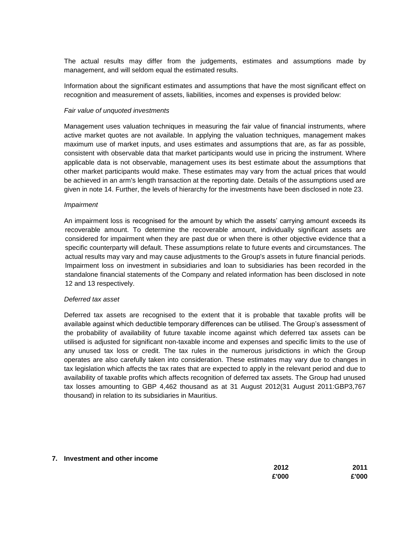The actual results may differ from the judgements, estimates and assumptions made by management, and will seldom equal the estimated results.

Information about the significant estimates and assumptions that have the most significant effect on recognition and measurement of assets, liabilities, incomes and expenses is provided below:

#### *Fair value of unquoted investments*

Management uses valuation techniques in measuring the fair value of financial instruments, where active market quotes are not available. In applying the valuation techniques, management makes maximum use of market inputs, and uses estimates and assumptions that are, as far as possible, consistent with observable data that market participants would use in pricing the instrument. Where applicable data is not observable, management uses its best estimate about the assumptions that other market participants would make. These estimates may vary from the actual prices that would be achieved in an arm's length transaction at the reporting date. Details of the assumptions used are given in note 14. Further, the levels of hierarchy for the investments have been disclosed in note 23.

#### *Impairment*

An impairment loss is recognised for the amount by which the assets' carrying amount exceeds its recoverable amount. To determine the recoverable amount, individually significant assets are considered for impairment when they are past due or when there is other objective evidence that a specific counterparty will default. These assumptions relate to future events and circumstances. The actual results may vary and may cause adjustments to the Group's assets in future financial periods. Impairment loss on investment in subsidiaries and loan to subsidiaries has been recorded in the standalone financial statements of the Company and related information has been disclosed in note 12 and 13 respectively.

#### *Deferred tax asset*

Deferred tax assets are recognised to the extent that it is probable that taxable profits will be available against which deductible temporary differences can be utilised. The Group's assessment of the probability of availability of future taxable income against which deferred tax assets can be utilised is adjusted for significant non-taxable income and expenses and specific limits to the use of any unused tax loss or credit. The tax rules in the numerous jurisdictions in which the Group operates are also carefully taken into consideration. These estimates may vary due to changes in tax legislation which affects the tax rates that are expected to apply in the relevant period and due to availability of taxable profits which affects recognition of deferred tax assets. The Group had unused tax losses amounting to GBP 4,462 thousand as at 31 August 2012(31 August 2011:GBP3,767 thousand) in relation to its subsidiaries in Mauritius.

#### **7. Investment and other income**

| 2012  | 2011  |
|-------|-------|
| £'000 | £'000 |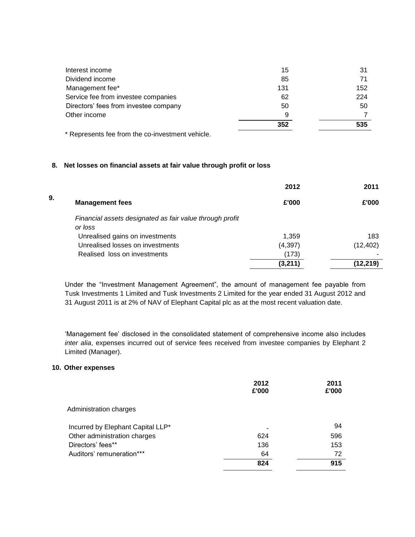|                                       | 352 | 535 |
|---------------------------------------|-----|-----|
| Other income                          |     |     |
| Directors' fees from investee company | 50  | 50  |
| Service fee from investee companies   | 62  | 224 |
| Management fee*                       | 131 | 152 |
| Dividend income                       | 85  | 71  |
| Interest income                       | 15  | 31  |
|                                       |     |     |

\* Represents fee from the co-investment vehicle.

## **8. Net losses on financial assets at fair value through profit or loss**

|    |                                                          | 2012     | 2011      |
|----|----------------------------------------------------------|----------|-----------|
| 9. | <b>Management fees</b>                                   | £'000    | £'000     |
|    | Financial assets designated as fair value through profit |          |           |
|    | or loss                                                  |          |           |
|    | Unrealised gains on investments                          | 1,359    | 183       |
|    | Unrealised losses on investments                         | (4, 397) | (12, 402) |
|    | Realised loss on investments                             | (173)    |           |
|    |                                                          | (3,211)  | (12,219)  |

Under the "Investment Management Agreement", the amount of management fee payable from Tusk Investments 1 Limited and Tusk Investments 2 Limited for the year ended 31 August 2012 and 31 August 2011 is at 2% of NAV of Elephant Capital plc as at the most recent valuation date.

'Management fee' disclosed in the consolidated statement of comprehensive income also includes *inter alia*, expenses incurred out of service fees received from investee companies by Elephant 2 Limited (Manager).

### **10. Other expenses**

|                                   | 2012<br>£'000 | 2011<br>£'000 |
|-----------------------------------|---------------|---------------|
| Administration charges            |               |               |
| Incurred by Elephant Capital LLP* |               | 94            |
| Other administration charges      | 624           | 596           |
| Directors' fees**                 | 136           | 153           |
| Auditors' remuneration***         | 64            | 72            |
|                                   | 824           | 915           |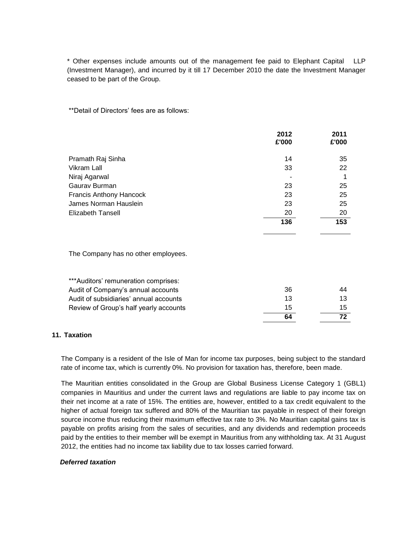\* Other expenses include amounts out of the management fee paid to Elephant Capital LLP (Investment Manager), and incurred by it till 17 December 2010 the date the Investment Manager ceased to be part of the Group.

\*\*Detail of Directors' fees are as follows:

|                                | 2012<br>£'000 | 2011<br>£'000 |
|--------------------------------|---------------|---------------|
| Pramath Raj Sinha              | 14            | 35            |
| Vikram Lall                    | 33            | 22            |
| Niraj Agarwal                  |               | 1             |
| Gaurav Burman                  | 23            | 25            |
| <b>Francis Anthony Hancock</b> | 23            | 25            |
| James Norman Hauslein          | 23            | 25            |
| <b>Elizabeth Tansell</b>       | 20            | 20            |
|                                | 136           | 153           |

The Company has no other employees.

|                                        | 64 |    |
|----------------------------------------|----|----|
| Review of Group's half yearly accounts | 15 | 15 |
| Audit of subsidiaries' annual accounts | 13 | 13 |
| Audit of Company's annual accounts     | 36 | 44 |
| ***Auditors' remuneration comprises:   |    |    |

## **11. Taxation**

The Company is a resident of the Isle of Man for income tax purposes, being subject to the standard rate of income tax, which is currently 0%. No provision for taxation has, therefore, been made.

The Mauritian entities consolidated in the Group are Global Business License Category 1 (GBL1) companies in Mauritius and under the current laws and regulations are liable to pay income tax on their net income at a rate of 15%. The entities are, however, entitled to a tax credit equivalent to the higher of actual foreign tax suffered and 80% of the Mauritian tax payable in respect of their foreign source income thus reducing their maximum effective tax rate to 3%. No Mauritian capital gains tax is payable on profits arising from the sales of securities, and any dividends and redemption proceeds paid by the entities to their member will be exempt in Mauritius from any withholding tax. At 31 August 2012, the entities had no income tax liability due to tax losses carried forward.

#### *Deferred taxation*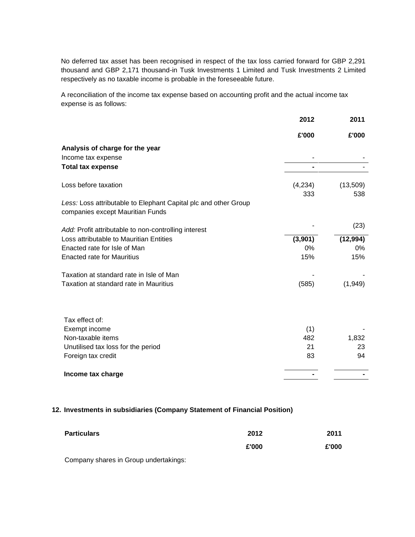No deferred tax asset has been recognised in respect of the tax loss carried forward for GBP 2,291 thousand and GBP 2,171 thousand-in Tusk Investments 1 Limited and Tusk Investments 2 Limited respectively as no taxable income is probable in the foreseeable future.

A reconciliation of the income tax expense based on accounting profit and the actual income tax expense is as follows:

|                                                                 | 2012    | 2011      |
|-----------------------------------------------------------------|---------|-----------|
|                                                                 | £'000   | £'000     |
| Analysis of charge for the year                                 |         |           |
| Income tax expense                                              |         |           |
| <b>Total tax expense</b>                                        | -       |           |
| Loss before taxation                                            | (4,234) | (13,509)  |
|                                                                 | 333     | 538       |
| Less: Loss attributable to Elephant Capital plc and other Group |         |           |
| companies except Mauritian Funds                                |         |           |
| Add: Profit attributable to non-controlling interest            |         | (23)      |
| Loss attributable to Mauritian Entities                         | (3,901) | (12, 994) |
| Enacted rate for Isle of Man                                    | 0%      | 0%        |
| <b>Enacted rate for Mauritius</b>                               | 15%     | 15%       |
| Taxation at standard rate in Isle of Man                        |         |           |
| Taxation at standard rate in Mauritius                          | (585)   | (1,949)   |
| Tax effect of:                                                  |         |           |
| Exempt income                                                   | (1)     |           |
| Non-taxable items                                               | 482     | 1,832     |
| Unutilised tax loss for the period                              | 21      | 23        |
| Foreign tax credit                                              | 83      | 94        |
| Income tax charge                                               |         |           |

## **12. Investments in subsidiaries (Company Statement of Financial Position)**

| <b>Particulars</b> | 2012  | 2011  |
|--------------------|-------|-------|
|                    | £'000 | £'000 |

Company shares in Group undertakings: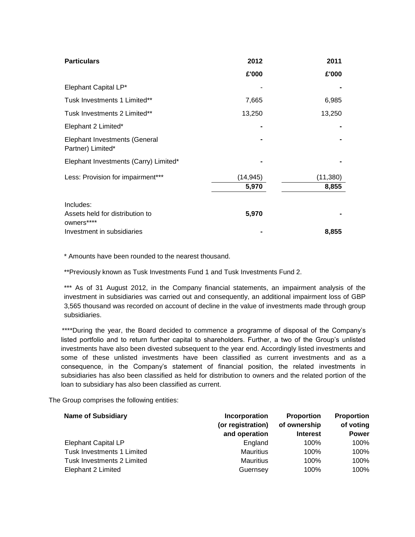| <b>Particulars</b>                                        | 2012      | 2011      |
|-----------------------------------------------------------|-----------|-----------|
|                                                           | £'000     | £'000     |
| Elephant Capital LP*                                      |           |           |
| Tusk Investments 1 Limited**                              | 7,665     | 6,985     |
| Tusk Investments 2 Limited**                              | 13,250    | 13,250    |
| Elephant 2 Limited*                                       |           |           |
| <b>Elephant Investments (General</b><br>Partner) Limited* |           |           |
| Elephant Investments (Carry) Limited*                     |           |           |
| Less: Provision for impairment***                         | (14, 945) | (11, 380) |
|                                                           | 5,970     | 8,855     |
| Includes:                                                 |           |           |
| Assets held for distribution to<br>owners****             | 5,970     |           |
| Investment in subsidiaries                                |           | 8,855     |

\* Amounts have been rounded to the nearest thousand.

\*\*Previously known as Tusk Investments Fund 1 and Tusk Investments Fund 2.

\*\*\* As of 31 August 2012, in the Company financial statements, an impairment analysis of the investment in subsidiaries was carried out and consequently, an additional impairment loss of GBP 3,565 thousand was recorded on account of decline in the value of investments made through group subsidiaries.

\*\*\*\*During the year, the Board decided to commence a programme of disposal of the Company's listed portfolio and to return further capital to shareholders. Further, a two of the Group's unlisted investments have also been divested subsequent to the year end. Accordingly listed investments and some of these unlisted investments have been classified as current investments and as a consequence, in the Company's statement of financial position, the related investments in subsidiaries has also been classified as held for distribution to owners and the related portion of the loan to subsidiary has also been classified as current.

The Group comprises the following entities:

| <b>Name of Subsidiary</b>  | Incorporation<br>(or registration)<br>and operation | <b>Proportion</b><br>of ownership<br><b>Interest</b> | <b>Proportion</b><br>of voting<br><b>Power</b> |
|----------------------------|-----------------------------------------------------|------------------------------------------------------|------------------------------------------------|
| <b>Elephant Capital LP</b> | England                                             | 100%                                                 | 100%                                           |
| Tusk Investments 1 Limited | <b>Mauritius</b>                                    | 100%                                                 | 100%                                           |
| Tusk Investments 2 Limited | <b>Mauritius</b>                                    | 100%                                                 | 100%                                           |
| Elephant 2 Limited         | Guernsey                                            | 100%                                                 | 100%                                           |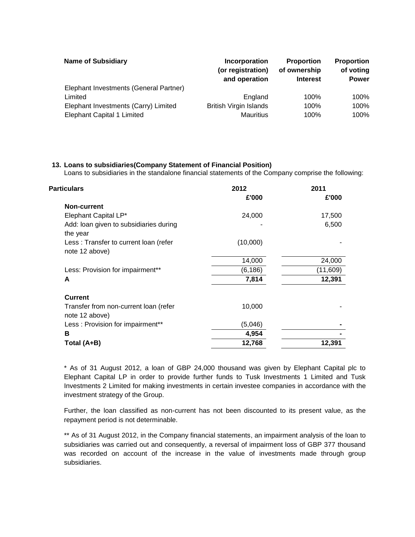| <b>Name of Subsidiary</b>              | Incorporation<br>(or registration)<br>and operation | <b>Proportion</b><br>of ownership<br><b>Interest</b> | <b>Proportion</b><br>of voting<br><b>Power</b> |
|----------------------------------------|-----------------------------------------------------|------------------------------------------------------|------------------------------------------------|
| Elephant Investments (General Partner) |                                                     |                                                      |                                                |
| Limited                                | England                                             | 100%                                                 | 100%                                           |
| Elephant Investments (Carry) Limited   | <b>British Virgin Islands</b>                       | 100%                                                 | 100%                                           |
| <b>Elephant Capital 1 Limited</b>      | <b>Mauritius</b>                                    | 100%                                                 | 100%                                           |

## **13. Loans to subsidiaries(Company Statement of Financial Position)**

Loans to subsidiaries in the standalone financial statements of the Company comprise the following:

| 2012     | 2011<br>£'000 |
|----------|---------------|
|          |               |
| 24,000   | 17,500        |
|          | 6,500         |
| (10,000) |               |
| 14,000   | 24,000        |
| (6, 186) | (11,609)      |
| 7,814    | 12,391        |
|          |               |
| 10,000   |               |
| (5,046)  |               |
| 4,954    |               |
| 12,768   | 12,391        |
|          | £'000         |

\* As of 31 August 2012, a loan of GBP 24,000 thousand was given by Elephant Capital plc to Elephant Capital LP in order to provide further funds to Tusk Investments 1 Limited and Tusk Investments 2 Limited for making investments in certain investee companies in accordance with the investment strategy of the Group.

Further, the loan classified as non-current has not been discounted to its present value, as the repayment period is not determinable.

\*\* As of 31 August 2012, in the Company financial statements, an impairment analysis of the loan to subsidiaries was carried out and consequently, a reversal of impairment loss of GBP 377 thousand was recorded on account of the increase in the value of investments made through group subsidiaries.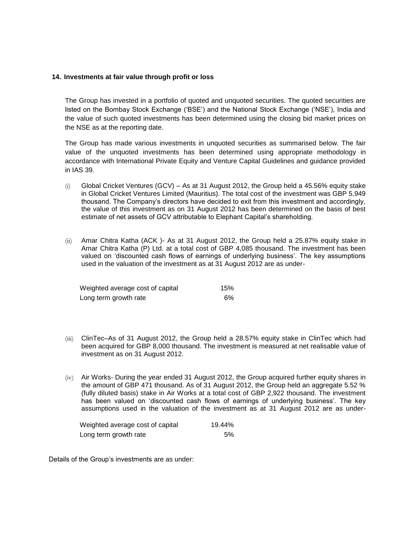#### **14. Investments at fair value through profit or loss**

The Group has invested in a portfolio of quoted and unquoted securities. The quoted securities are listed on the Bombay Stock Exchange ('BSE') and the National Stock Exchange ('NSE'), India and the value of such quoted investments has been determined using the closing bid market prices on the NSE as at the reporting date.

The Group has made various investments in unquoted securities as summarised below. The fair value of the unquoted investments has been determined using appropriate methodology in accordance with International Private Equity and Venture Capital Guidelines and guidance provided in IAS 39.

- $(i)$  Global Cricket Ventures (GCV) As at 31 August 2012, the Group held a 45.56% equity stake in Global Cricket Ventures Limited (Mauritius). The total cost of the investment was GBP 5,949 thousand. The Company's directors have decided to exit from this investment and accordingly, the value of this investment as on 31 August 2012 has been determined on the basis of best estimate of net assets of GCV attributable to Elephant Capital's shareholding.
- (ii) Amar Chitra Katha (ACK )- As at 31 August 2012, the Group held a 25.87% equity stake in Amar Chitra Katha (P) Ltd. at a total cost of GBP 4,085 thousand. The investment has been valued on 'discounted cash flows of earnings of underlying business'. The key assumptions used in the valuation of the investment as at 31 August 2012 are as under-

| Weighted average cost of capital | 15% |
|----------------------------------|-----|
| Long term growth rate            | .6% |

- (iii) ClinTec–As of 31 August 2012, the Group held a 28.57% equity stake in ClinTec which had been acquired for GBP 8,000 thousand. The investment is measured at net realisable value of investment as on 31 August 2012.
- $(iv)$  Air Works- During the year ended 31 August 2012, the Group acquired further equity shares in the amount of GBP 471 thousand. As of 31 August 2012, the Group held an aggregate 5.52 % (fully diluted basis) stake in Air Works at a total cost of GBP 2,922 thousand. The investment has been valued on 'discounted cash flows of earnings of underlying business'. The key assumptions used in the valuation of the investment as at 31 August 2012 are as under-

| Weighted average cost of capital | 19.44% |
|----------------------------------|--------|
| Long term growth rate            | .5%    |

Details of the Group's investments are as under: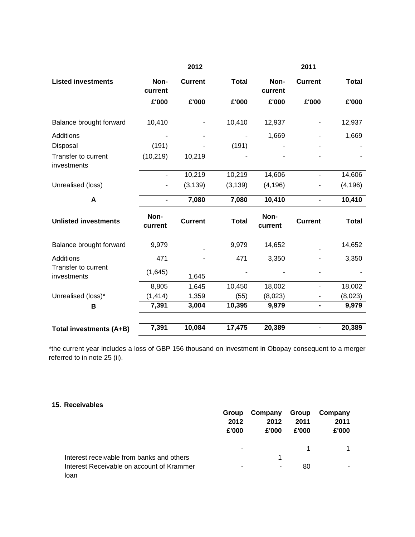|                                    |                 | 2012           |              |                 | 2011                     |              |
|------------------------------------|-----------------|----------------|--------------|-----------------|--------------------------|--------------|
| <b>Listed investments</b>          | Non-<br>current | <b>Current</b> | <b>Total</b> | Non-<br>current | <b>Current</b>           | <b>Total</b> |
|                                    | £'000           | £'000          | £'000        | £'000           | £'000                    | £'000        |
| Balance brought forward            | 10,410          |                | 10,410       | 12,937          |                          | 12,937       |
| <b>Additions</b>                   |                 |                |              | 1,669           |                          | 1,669        |
| Disposal                           | (191)           |                | (191)        |                 |                          |              |
| Transfer to current<br>investments | (10, 219)       | 10,219         |              |                 |                          |              |
|                                    |                 | 10,219         | 10,219       | 14,606          |                          | 14,606       |
| Unrealised (loss)                  |                 | (3, 139)       | (3, 139)     | (4, 196)        |                          | (4, 196)     |
| A                                  |                 | 7,080          | 7,080        | 10,410          |                          | 10,410       |
| <b>Unlisted investments</b>        | Non-<br>current | <b>Current</b> | <b>Total</b> | Non-<br>current | <b>Current</b>           | <b>Total</b> |
| Balance brought forward            | 9,979           |                | 9,979        | 14,652          |                          | 14,652       |
| <b>Additions</b>                   | 471             |                | 471          | 3,350           |                          | 3,350        |
| Transfer to current<br>investments | (1,645)         | 1,645          |              |                 |                          |              |
|                                    | 8,805           | 1,645          | 10,450       | 18,002          | $\overline{\phantom{0}}$ | 18,002       |
| Unrealised (loss)*                 | (1, 414)        | 1,359          | (55)         | (8,023)         | $\overline{\phantom{0}}$ | (8,023)      |
| В                                  | 7,391           | 3,004          | 10,395       | 9,979           |                          | 9,979        |
| Total investments (A+B)            | 7,391           | 10,084         | 17,475       | 20,389          |                          | 20,389       |

\*the current year includes a loss of GBP 156 thousand on investment in Obopay consequent to a merger referred to in note 25 (ii).

# **15. Receivables**

| Group<br>2012<br>£'000   | Company<br>2012<br>£'000 | Group<br>2011<br>£'000 | Company<br>2011<br>£'000 |
|--------------------------|--------------------------|------------------------|--------------------------|
| $\overline{\phantom{a}}$ |                          |                        |                          |
|                          |                          |                        |                          |
| $\blacksquare$           | ٠                        | 80                     |                          |
|                          |                          |                        |                          |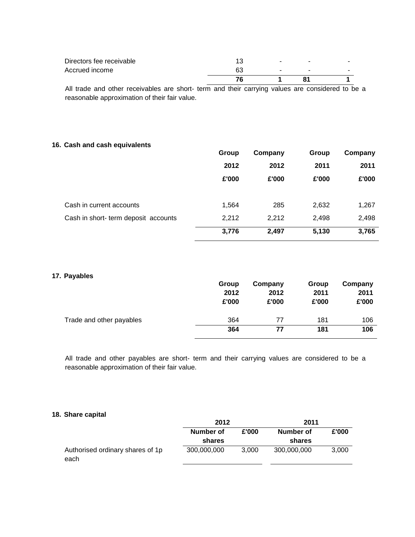| $\overline{\phantom{a}}$ |
|--------------------------|
| $\overline{\phantom{a}}$ |
|                          |

All trade and other receivables are short- term and their carrying values are considered to be a reasonable approximation of their fair value.

## **16. Cash and cash equivalents**

|                                     | Group | Company | Group | Company |
|-------------------------------------|-------|---------|-------|---------|
|                                     | 2012  | 2012    | 2011  | 2011    |
|                                     | £'000 | £'000   | £'000 | £'000   |
|                                     |       |         |       |         |
| Cash in current accounts            | 1,564 | 285     | 2,632 | 1,267   |
| Cash in short-term deposit accounts | 2,212 | 2,212   | 2,498 | 2,498   |
|                                     | 3,776 | 2,497   | 5,130 | 3,765   |

## **17. Payables**

|                          | Group<br>2012<br>£'000 | Company<br>2012<br>£'000 | Group<br>2011<br>£'000 | Company<br>2011<br>£'000 |
|--------------------------|------------------------|--------------------------|------------------------|--------------------------|
| Trade and other payables | 364                    | 77                       | 181                    | 106                      |
|                          | 364                    | 77                       | 181                    | 106                      |
|                          |                        |                          |                        |                          |

All trade and other payables are short- term and their carrying values are considered to be a reasonable approximation of their fair value.

## **18. Share capital**

|                                          | 2012               |       | 2011        |       |  |
|------------------------------------------|--------------------|-------|-------------|-------|--|
|                                          | £'000<br>Number of |       | Number of   | £'000 |  |
|                                          | shares             |       | shares      |       |  |
| Authorised ordinary shares of 1p<br>each | 300,000,000        | 3.000 | 300,000,000 | 3.000 |  |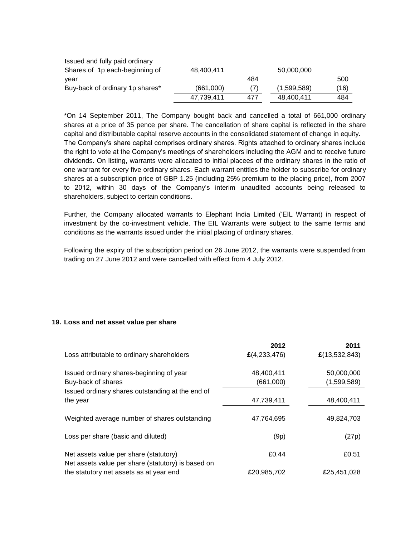| Issued and fully paid ordinary  |            |     |             |      |
|---------------------------------|------------|-----|-------------|------|
| Shares of 1p each-beginning of  | 48.400.411 |     | 50,000,000  |      |
| year                            |            | 484 |             | 500  |
| Buy-back of ordinary 1p shares* | (661,000)  | (7) | (1,599,589) | (16) |
|                                 | 47,739,411 | 477 | 48,400,411  | 484  |

\*On 14 September 2011, The Company bought back and cancelled a total of 661,000 ordinary shares at a price of 35 pence per share. The cancellation of share capital is reflected in the share capital and distributable capital reserve accounts in the consolidated statement of change in equity. The Company's share capital comprises ordinary shares. Rights attached to ordinary shares include the right to vote at the Company's meetings of shareholders including the AGM and to receive future dividends. On listing, warrants were allocated to initial placees of the ordinary shares in the ratio of one warrant for every five ordinary shares. Each warrant entitles the holder to subscribe for ordinary shares at a subscription price of GBP 1.25 (including 25% premium to the placing price), from 2007 to 2012, within 30 days of the Company's interim unaudited accounts being released to shareholders, subject to certain conditions.

Further, the Company allocated warrants to Elephant India Limited ('EIL Warrant) in respect of investment by the co-investment vehicle. The EIL Warrants were subject to the same terms and conditions as the warrants issued under the initial placing of ordinary shares.

Following the expiry of the subscription period on 26 June 2012, the warrants were suspended from trading on 27 June 2012 and were cancelled with effect from 4 July 2012.

#### **19. Loss and net asset value per share**

| Loss attributable to ordinary shareholders                                                   | 2012<br>$\pounds$ (4,233,476) | 2011<br>£(13,532,843) |
|----------------------------------------------------------------------------------------------|-------------------------------|-----------------------|
| Issued ordinary shares-beginning of year                                                     | 48,400,411                    | 50,000,000            |
| Buy-back of shares                                                                           | (661,000)                     | (1,599,589)           |
| Issued ordinary shares outstanding at the end of<br>the year                                 | 47,739,411                    | 48,400,411            |
| Weighted average number of shares outstanding                                                | 47,764,695                    | 49,824,703            |
| Loss per share (basic and diluted)                                                           | (9p)                          | (27p)                 |
| Net assets value per share (statutory)<br>Net assets value per share (statutory) is based on | £0.44                         | £0.51                 |
| the statutory net assets as at year end                                                      | £20,985,702                   | £25,451,028           |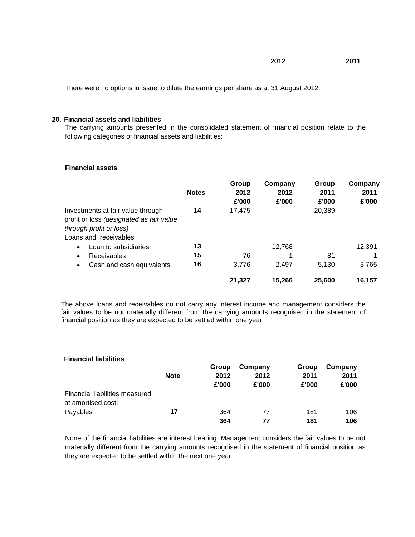**2012 2011**

There were no options in issue to dilute the earnings per share as at 31 August 2012.

#### **20. Financial assets and liabilities**

The carrying amounts presented in the consolidated statement of financial position relate to the following categories of financial assets and liabilities:

## **Financial assets**

|                                                                                                          | <b>Notes</b> | Group<br>2012<br>£'000 | Company<br>2012<br>£'000 | Group<br>2011<br>£'000 | Company<br>2011<br>£'000 |
|----------------------------------------------------------------------------------------------------------|--------------|------------------------|--------------------------|------------------------|--------------------------|
| Investments at fair value through<br>profit or loss (designated as fair value<br>through profit or loss) | 14           | 17,475                 |                          | 20,389                 |                          |
| Loans and receivables                                                                                    |              |                        |                          |                        |                          |
| Loan to subsidiaries<br>$\bullet$                                                                        | 13           |                        | 12,768                   |                        | 12,391                   |
| Receivables<br>٠                                                                                         | 15           | 76                     |                          | 81                     |                          |
| Cash and cash equivalents<br>$\bullet$                                                                   | 16           | 3,776                  | 2.497                    | 5.130                  | 3,765                    |
|                                                                                                          |              | 21,327                 | 15,266                   | 25,600                 | 16,157                   |

The above loans and receivables do not carry any interest income and management considers the fair values to be not materially different from the carrying amounts recognised in the statement of financial position as they are expected to be settled within one year.

## **Financial liabilities**

|                                                      | <b>Note</b> | Group<br>2012<br>£'000 | Company<br>2012<br>£'000 | Group<br>2011<br>£'000 | Company<br>2011<br>£'000 |
|------------------------------------------------------|-------------|------------------------|--------------------------|------------------------|--------------------------|
| Financial liabilities measured<br>at amortised cost: |             |                        |                          |                        |                          |
| Payables                                             | 17          | 364                    | 77                       | 181                    | 106                      |
|                                                      |             | 364                    | 77                       | 181                    | 106                      |

None of the financial liabilities are interest bearing. Management considers the fair values to be not materially different from the carrying amounts recognised in the statement of financial position as they are expected to be settled within the next one year.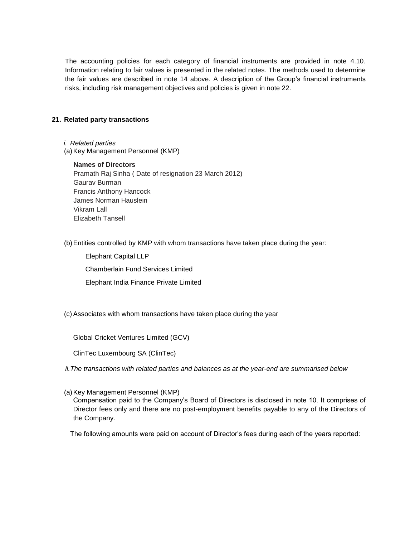The accounting policies for each category of financial instruments are provided in note 4.10. Information relating to fair values is presented in the related notes. The methods used to determine the fair values are described in note 14 above. A description of the Group's financial instruments risks, including risk management objectives and policies is given in note 22.

## **21. Related party transactions**

- *i. Related parties*
- (a) Key Management Personnel (KMP)

# **Names of Directors**

Pramath Raj Sinha ( Date of resignation 23 March 2012) Gaurav Burman Francis Anthony Hancock James Norman Hauslein Vikram Lall Elizabeth Tansell

(b)Entities controlled by KMP with whom transactions have taken place during the year:

Elephant Capital LLP

Chamberlain Fund Services Limited

Elephant India Finance Private Limited

(c) Associates with whom transactions have taken place during the year

Global Cricket Ventures Limited (GCV)

ClinTec Luxembourg SA (ClinTec)

*ii.The transactions with related parties and balances as at the year-end are summarised below*

(a) Key Management Personnel (KMP)

Compensation paid to the Company's Board of Directors is disclosed in note 10. It comprises of Director fees only and there are no post-employment benefits payable to any of the Directors of the Company.

The following amounts were paid on account of Director's fees during each of the years reported: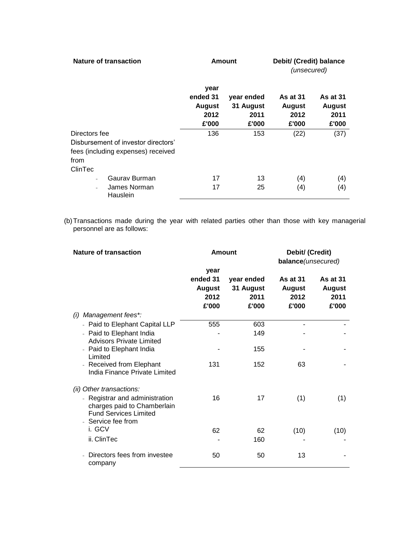| <b>Nature of transaction</b>                                                                                  |                                                    | <b>Amount</b>                            | Debit/ (Credit) balance<br>(unsecured)            |                                                   |  |
|---------------------------------------------------------------------------------------------------------------|----------------------------------------------------|------------------------------------------|---------------------------------------------------|---------------------------------------------------|--|
|                                                                                                               | year<br>ended 31<br><b>August</b><br>2012<br>£'000 | year ended<br>31 August<br>2011<br>£'000 | <b>As at 31</b><br><b>August</b><br>2012<br>£'000 | <b>As at 31</b><br><b>August</b><br>2011<br>£'000 |  |
| Directors fee<br>Disbursement of investor directors'<br>fees (including expenses) received<br>from<br>ClinTec | 136                                                | 153                                      | (22)                                              | (37)                                              |  |
| Gauray Burman<br>$\overline{\phantom{a}}$<br>James Norman<br>$\overline{\phantom{a}}$<br>Hauslein             | 17<br>17                                           | 13<br>25                                 | (4)<br>(4)                                        | (4)<br>(4)                                        |  |

(b)Transactions made during the year with related parties other than those with key managerial personnel are as follows:

| <b>Nature of transaction</b>                                                                                        |                                                    | <b>Amount</b>                            | Debit/ (Credit)<br>balance(unsecured)             |                                                   |
|---------------------------------------------------------------------------------------------------------------------|----------------------------------------------------|------------------------------------------|---------------------------------------------------|---------------------------------------------------|
|                                                                                                                     | year<br>ended 31<br><b>August</b><br>2012<br>£'000 | year ended<br>31 August<br>2011<br>£'000 | <b>As at 31</b><br><b>August</b><br>2012<br>£'000 | <b>As at 31</b><br><b>August</b><br>2011<br>£'000 |
| Management fees*:<br>(i)                                                                                            |                                                    |                                          |                                                   |                                                   |
| - Paid to Elephant Capital LLP                                                                                      | 555                                                | 603                                      |                                                   |                                                   |
| - Paid to Elephant India<br><b>Advisors Private Limited</b>                                                         |                                                    | 149                                      |                                                   |                                                   |
| - Paid to Elephant India<br>Limited                                                                                 |                                                    | 155                                      |                                                   |                                                   |
| - Received from Elephant<br>India Finance Private Limited                                                           | 131                                                | 152                                      | 63                                                |                                                   |
| (ii) Other transactions:                                                                                            |                                                    |                                          |                                                   |                                                   |
| - Registrar and administration<br>charges paid to Chamberlain<br><b>Fund Services Limited</b><br>- Service fee from | 16                                                 | 17                                       | (1)                                               | (1)                                               |
| i. GCV                                                                                                              | 62                                                 | 62                                       | (10)                                              | (10)                                              |
| ii. ClinTec                                                                                                         |                                                    | 160                                      |                                                   |                                                   |
| Directors fees from investee<br>company                                                                             | 50                                                 | 50                                       | 13                                                |                                                   |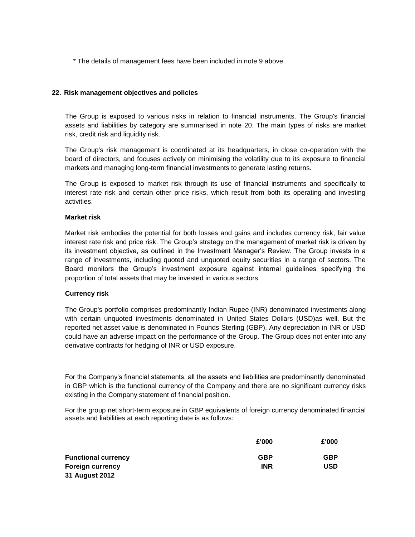\* The details of management fees have been included in note 9 above.

### **22. Risk management objectives and policies**

The Group is exposed to various risks in relation to financial instruments. The Group's financial assets and liabilities by category are summarised in note 20. The main types of risks are market risk, credit risk and liquidity risk.

The Group's risk management is coordinated at its headquarters, in close co-operation with the board of directors, and focuses actively on minimising the volatility due to its exposure to financial markets and managing long-term financial investments to generate lasting returns.

The Group is exposed to market risk through its use of financial instruments and specifically to interest rate risk and certain other price risks, which result from both its operating and investing activities.

#### **Market risk**

Market risk embodies the potential for both losses and gains and includes currency risk, fair value interest rate risk and price risk. The Group's strategy on the management of market risk is driven by its investment objective, as outlined in the Investment Manager's Review. The Group invests in a range of investments, including quoted and unquoted equity securities in a range of sectors. The Board monitors the Group's investment exposure against internal guidelines specifying the proportion of total assets that may be invested in various sectors.

#### **Currency risk**

The Group's portfolio comprises predominantly Indian Rupee (INR) denominated investments along with certain unquoted investments denominated in United States Dollars (USD)as well. But the reported net asset value is denominated in Pounds Sterling (GBP). Any depreciation in INR or USD could have an adverse impact on the performance of the Group. The Group does not enter into any derivative contracts for hedging of INR or USD exposure.

For the Company's financial statements, all the assets and liabilities are predominantly denominated in GBP which is the functional currency of the Company and there are no significant currency risks existing in the Company statement of financial position.

For the group net short-term exposure in GBP equivalents of foreign currency denominated financial assets and liabilities at each reporting date is as follows:

|                            | £'000      | £'000      |
|----------------------------|------------|------------|
| <b>Functional currency</b> | <b>GBP</b> | <b>GBP</b> |
| <b>Foreign currency</b>    | INR        | <b>USD</b> |
| 31 August 2012             |            |            |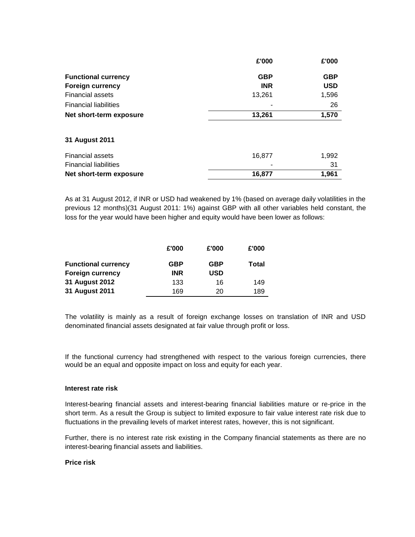| £'000      | £'000      |
|------------|------------|
| <b>GBP</b> | <b>GBP</b> |
| <b>INR</b> | <b>USD</b> |
| 13,261     | 1,596      |
|            | 26         |
| 13,261     | 1,570      |
|            |            |
|            |            |
| 16,877     | 1,992      |
|            | 31         |
| 16,877     | 1,961      |
|            |            |

As at 31 August 2012, if INR or USD had weakened by 1% (based on average daily volatilities in the previous 12 months)(31 August 2011: 1%) against GBP with all other variables held constant, the loss for the year would have been higher and equity would have been lower as follows:

|                                                       | £'000                    | £'000             | £'000 |
|-------------------------------------------------------|--------------------------|-------------------|-------|
| <b>Functional currency</b><br><b>Foreign currency</b> | <b>GBP</b><br><b>INR</b> | <b>GBP</b><br>USD | Total |
| 31 August 2012                                        | 133                      | 16                | 149   |
| 31 August 2011                                        | 169                      | 20                | 189   |

The volatility is mainly as a result of foreign exchange losses on translation of INR and USD denominated financial assets designated at fair value through profit or loss.

If the functional currency had strengthened with respect to the various foreign currencies, there would be an equal and opposite impact on loss and equity for each year.

#### **Interest rate risk**

Interest-bearing financial assets and interest-bearing financial liabilities mature or re-price in the short term. As a result the Group is subject to limited exposure to fair value interest rate risk due to fluctuations in the prevailing levels of market interest rates, however, this is not significant.

Further, there is no interest rate risk existing in the Company financial statements as there are no interest-bearing financial assets and liabilities.

### **Price risk**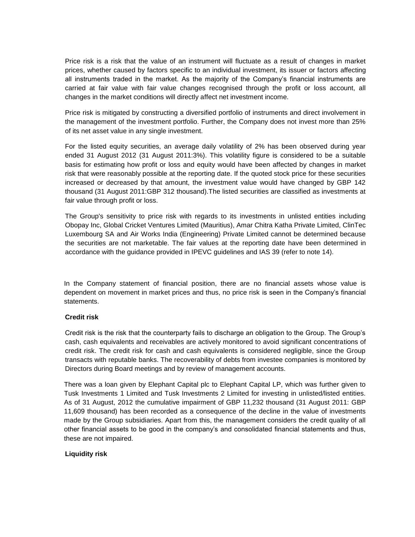Price risk is a risk that the value of an instrument will fluctuate as a result of changes in market prices, whether caused by factors specific to an individual investment, its issuer or factors affecting all instruments traded in the market. As the majority of the Company's financial instruments are carried at fair value with fair value changes recognised through the profit or loss account, all changes in the market conditions will directly affect net investment income.

Price risk is mitigated by constructing a diversified portfolio of instruments and direct involvement in the management of the investment portfolio. Further, the Company does not invest more than 25% of its net asset value in any single investment.

For the listed equity securities, an average daily volatility of 2% has been observed during year ended 31 August 2012 (31 August 2011:3%). This volatility figure is considered to be a suitable basis for estimating how profit or loss and equity would have been affected by changes in market risk that were reasonably possible at the reporting date. If the quoted stock price for these securities increased or decreased by that amount, the investment value would have changed by GBP 142 thousand (31 August 2011:GBP 312 thousand).The listed securities are classified as investments at fair value through profit or loss.

The Group's sensitivity to price risk with regards to its investments in unlisted entities including Obopay Inc, Global Cricket Ventures Limited (Mauritius), Amar Chitra Katha Private Limited, ClinTec Luxembourg SA and Air Works India (Engineering) Private Limited cannot be determined because the securities are not marketable. The fair values at the reporting date have been determined in accordance with the guidance provided in IPEVC guidelines and IAS 39 (refer to note 14).

In the Company statement of financial position, there are no financial assets whose value is dependent on movement in market prices and thus, no price risk is seen in the Company's financial statements.

#### **Credit risk**

Credit risk is the risk that the counterparty fails to discharge an obligation to the Group. The Group's cash, cash equivalents and receivables are actively monitored to avoid significant concentrations of credit risk. The credit risk for cash and cash equivalents is considered negligible, since the Group transacts with reputable banks. The recoverability of debts from investee companies is monitored by Directors during Board meetings and by review of management accounts.

There was a loan given by Elephant Capital plc to Elephant Capital LP, which was further given to Tusk Investments 1 Limited and Tusk Investments 2 Limited for investing in unlisted/listed entities. As of 31 August, 2012 the cumulative impairment of GBP 11,232 thousand (31 August 2011: GBP 11,609 thousand) has been recorded as a consequence of the decline in the value of investments made by the Group subsidiaries. Apart from this, the management considers the credit quality of all other financial assets to be good in the company's and consolidated financial statements and thus, these are not impaired.

## **Liquidity risk**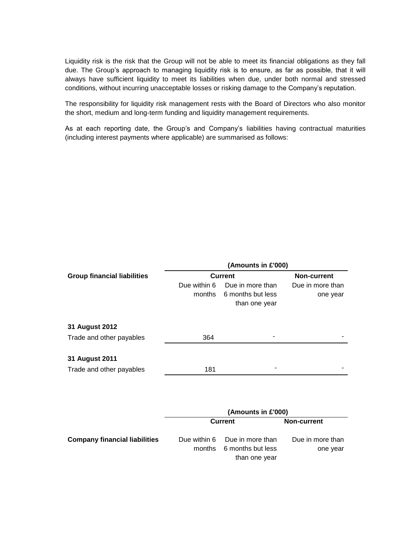Liquidity risk is the risk that the Group will not be able to meet its financial obligations as they fall due. The Group's approach to managing liquidity risk is to ensure, as far as possible, that it will always have sufficient liquidity to meet its liabilities when due, under both normal and stressed conditions, without incurring unacceptable losses or risking damage to the Company's reputation.

The responsibility for liquidity risk management rests with the Board of Directors who also monitor the short, medium and long-term funding and liquidity management requirements.

As at each reporting date, the Group's and Company's liabilities having contractual maturities (including interest payments where applicable) are summarised as follows:

|                                    | (Amounts in £'000) |                   |                  |  |
|------------------------------------|--------------------|-------------------|------------------|--|
| <b>Group financial liabilities</b> |                    | <b>Current</b>    |                  |  |
|                                    | Due within 6       | Due in more than  | Due in more than |  |
|                                    | months             | 6 months but less | one year         |  |
|                                    |                    | than one year     |                  |  |
| 31 August 2012                     |                    |                   |                  |  |
|                                    |                    |                   |                  |  |
| Trade and other payables           | 364                |                   |                  |  |
| 31 August 2011                     |                    |                   |                  |  |
| Trade and other payables           | 181                |                   |                  |  |

|                                      |        | (Amounts in £'000)                                 |                              |
|--------------------------------------|--------|----------------------------------------------------|------------------------------|
|                                      |        | Current                                            | <b>Non-current</b>           |
| <b>Company financial liabilities</b> | months | Due within 6 Due in more than<br>6 months but less | Due in more than<br>one year |
|                                      |        | than one year                                      |                              |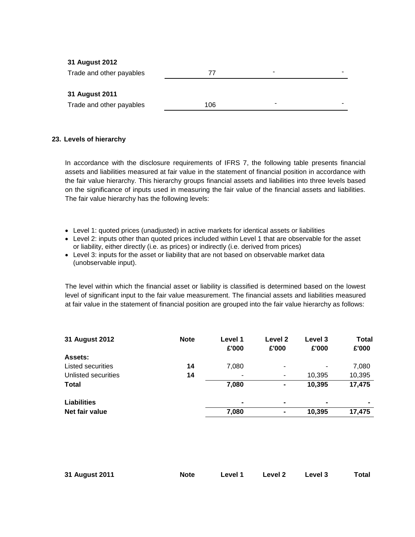## **31 August 2012**

| Trade and other payables |     | - |  |
|--------------------------|-----|---|--|
|                          |     |   |  |
| 31 August 2011           |     |   |  |
| Trade and other payables | 106 | - |  |

#### **23. Levels of hierarchy**

In accordance with the disclosure requirements of IFRS 7, the following table presents financial assets and liabilities measured at fair value in the statement of financial position in accordance with the fair value hierarchy. This hierarchy groups financial assets and liabilities into three levels based on the significance of inputs used in measuring the fair value of the financial assets and liabilities. The fair value hierarchy has the following levels:

- Level 1: quoted prices (unadjusted) in active markets for identical assets or liabilities
- Level 2: inputs other than quoted prices included within Level 1 that are observable for the asset or liability, either directly (i.e. as prices) or indirectly (i.e. derived from prices)
- Level 3: inputs for the asset or liability that are not based on observable market data (unobservable input).

The level within which the financial asset or liability is classified is determined based on the lowest level of significant input to the fair value measurement. The financial assets and liabilities measured at fair value in the statement of financial position are grouped into the fair value hierarchy as follows:

| 31 August 2012      | <b>Note</b> | Level 1<br>£'000 | Level 2<br>£'000         | Level 3<br>£'000 | <b>Total</b><br>£'000 |
|---------------------|-------------|------------------|--------------------------|------------------|-----------------------|
| <b>Assets:</b>      |             |                  |                          |                  |                       |
| Listed securities   | 14          | 7,080            | $\overline{\phantom{0}}$ |                  | 7,080                 |
| Unlisted securities | 14          | ۰                | ۰                        | 10.395           | 10,395                |
| <b>Total</b>        |             | 7,080            | $\blacksquare$           | 10,395           | 17,475                |
| <b>Liabilities</b>  |             | $\blacksquare$   | $\blacksquare$           | $\blacksquare$   | $\blacksquare$        |
| Net fair value      |             | 7,080            | $\blacksquare$           | 10,395           | 17,475                |
|                     |             |                  |                          |                  |                       |

| <b>Total</b><br>31 August 2011<br>Level 1<br><b>Level 2</b><br>Level 3<br>Note |
|--------------------------------------------------------------------------------|
|--------------------------------------------------------------------------------|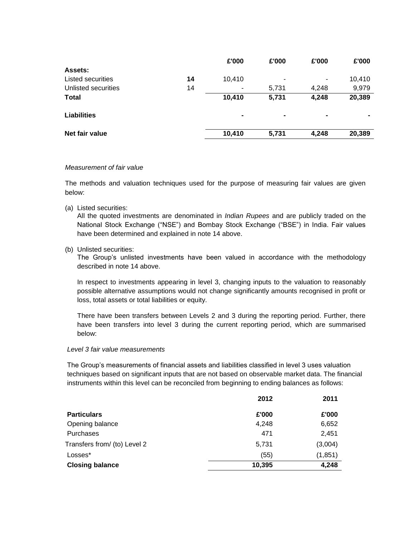|                          |    | £'000          | £'000                    | £'000 | £'000          |
|--------------------------|----|----------------|--------------------------|-------|----------------|
| <b>Assets:</b>           |    |                |                          |       |                |
| <b>Listed securities</b> | 14 | 10,410         | $\overline{\phantom{0}}$ | ۰     | 10,410         |
| Unlisted securities      | 14 |                | 5,731                    | 4,248 | 9,979          |
| <b>Total</b>             |    | 10,410         | 5,731                    | 4,248 | 20,389         |
| <b>Liabilities</b>       |    | $\blacksquare$ |                          |       | $\blacksquare$ |
| Net fair value           |    | 10,410         | 5,731                    | 4,248 | 20,389         |

## *Measurement of fair value*

The methods and valuation techniques used for the purpose of measuring fair values are given below:

(a) Listed securities:

All the quoted investments are denominated in *Indian Rupees* and are publicly traded on the National Stock Exchange ("NSE") and Bombay Stock Exchange ("BSE") in India. Fair values have been determined and explained in note 14 above.

(b) Unlisted securities:

The Group's unlisted investments have been valued in accordance with the methodology described in note 14 above.

In respect to investments appearing in level 3, changing inputs to the valuation to reasonably possible alternative assumptions would not change significantly amounts recognised in profit or loss, total assets or total liabilities or equity.

There have been transfers between Levels 2 and 3 during the reporting period. Further, there have been transfers into level 3 during the current reporting period, which are summarised below:

#### *Level 3 fair value measurements*

The Group's measurements of financial assets and liabilities classified in level 3 uses valuation techniques based on significant inputs that are not based on observable market data. The financial instruments within this level can be reconciled from beginning to ending balances as follows:

|                              | 2012   | 2011     |
|------------------------------|--------|----------|
| <b>Particulars</b>           | £'000  | £'000    |
| Opening balance              | 4,248  | 6,652    |
| Purchases                    | 471    | 2,451    |
| Transfers from/ (to) Level 2 | 5,731  | (3,004)  |
| Losses*                      | (55)   | (1, 851) |
| <b>Closing balance</b>       | 10,395 | 4,248    |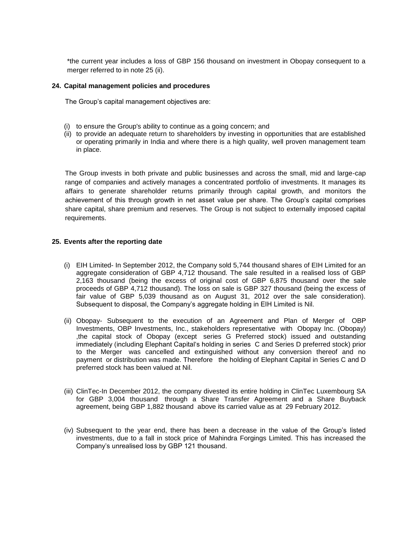\*the current year includes a loss of GBP 156 thousand on investment in Obopay consequent to a merger referred to in note 25 (ii).

#### **24. Capital management policies and procedures**

The Group's capital management objectives are:

- (i) to ensure the Group's ability to continue as a going concern; and
- (ii) to provide an adequate return to shareholders by investing in opportunities that are established or operating primarily in India and where there is a high quality, well proven management team in place.

The Group invests in both private and public businesses and across the small, mid and large-cap range of companies and actively manages a concentrated portfolio of investments. It manages its affairs to generate shareholder returns primarily through capital growth, and monitors the achievement of this through growth in net asset value per share. The Group's capital comprises share capital, share premium and reserves. The Group is not subject to externally imposed capital requirements.

#### **25. Events after the reporting date**

- (i) EIH Limited- In September 2012, the Company sold 5,744 thousand shares of EIH Limited for an aggregate consideration of GBP 4,712 thousand. The sale resulted in a realised loss of GBP 2,163 thousand (being the excess of original cost of GBP 6,875 thousand over the sale proceeds of GBP 4,712 thousand). The loss on sale is GBP 327 thousand (being the excess of fair value of GBP 5,039 thousand as on August 31, 2012 over the sale consideration). Subsequent to disposal, the Company's aggregate holding in EIH Limited is Nil.
- (ii) Obopay- Subsequent to the execution of an Agreement and Plan of Merger of OBP Investments, OBP Investments, Inc., stakeholders representative with Obopay Inc. (Obopay) ,the capital stock of Obopay (except series G Preferred stock) issued and outstanding immediately (including Elephant Capital's holding in series C and Series D preferred stock) prior to the Merger was cancelled and extinguished without any conversion thereof and no payment or distribution was made. Therefore the holding of Elephant Capital in Series C and D preferred stock has been valued at Nil.
- (iii) ClinTec-In December 2012, the company divested its entire holding in ClinTec Luxembourg SA for GBP 3,004 thousand through a Share Transfer Agreement and a Share Buyback agreement, being GBP 1,882 thousand above its carried value as at 29 February 2012.
- (iv) Subsequent to the year end, there has been a decrease in the value of the Group's listed investments, due to a fall in stock price of Mahindra Forgings Limited. This has increased the Company's unrealised loss by GBP 121 thousand.